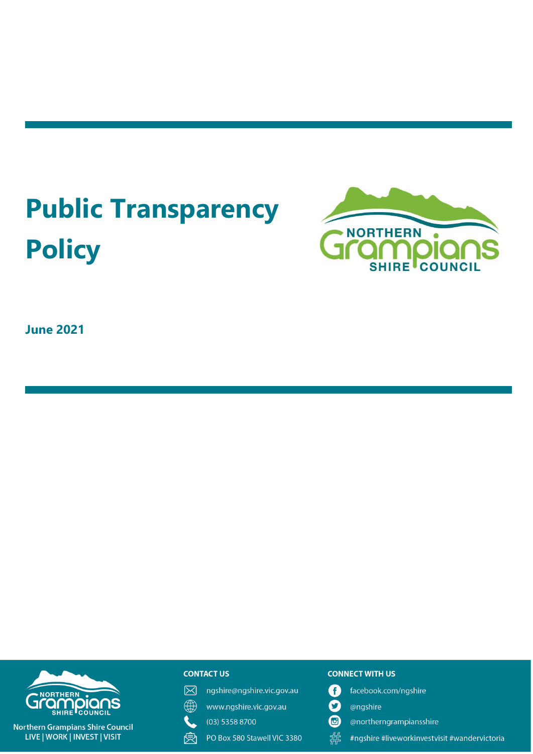# **Public Transparency Policy**



**June 2021**



#### **Northern Grampians Shire Council** LIVE | WORK | INVEST | VISIT

#### **CONTACT US**

冈 ngshire@ngshire.vic.gov.au

 $\mathbb{A}$ www.ngshire.vic.gov.au

- $(03)$  5358 8700
- 戾 PO Box 580 Stawell VIC 3380

#### **CONNECT WITH US**

- facebook.com/ngshire Q
- $\mathbf O$ @ngshire
- $\mathbf{G}$ @northerngrampiansshire
- 器 #ngshire #liveworkinvestvisit #wandervictoria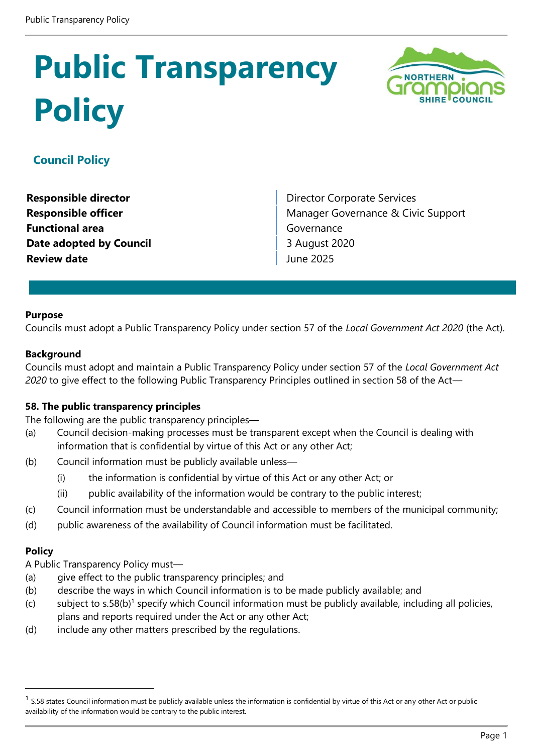# **Public Transparency Policy**



# **Council Policy**

**Functional area Governance Date adopted by Council Council** 3 August 2020 **Review date All and Service 2025** 

**Responsible director Director Director Corporate Services Responsible officer** Manager Governance & Civic Support

#### **Purpose**

Councils must adopt a Public Transparency Policy under section 57 of the *Local Government Act 2020* (the Act).

#### **Background**

Councils must adopt and maintain a Public Transparency Policy under section 57 of the *Local Government Act 2020* to give effect to the following Public Transparency Principles outlined in section 58 of the Act—

#### **58. The public transparency principles**

The following are the public transparency principles—

- (a) Council decision-making processes must be transparent except when the Council is dealing with information that is confidential by virtue of this Act or any other Act;
- (b) Council information must be publicly available unless—
	- (i) the information is confidential by virtue of this Act or any other Act; or
	- (ii) public availability of the information would be contrary to the public interest;
- (c) Council information must be understandable and accessible to members of the municipal community;
- (d) public awareness of the availability of Council information must be facilitated.

#### **Policy**

A Public Transparency Policy must—

- (a) give effect to the public transparency principles; and
- (b) describe the ways in which Council information is to be made publicly available; and
- $(c)$  subject to s.58(b)<sup>1</sup> specify which Council information must be publicly available, including all policies, plans and reports required under the Act or any other Act;
- (d) include any other matters prescribed by the regulations.

 $<sup>1</sup>$  S.58 states Council information must be publicly available unless the information is confidential by virtue of this Act or any other Act or public</sup> availability of the information would be contrary to the public interest.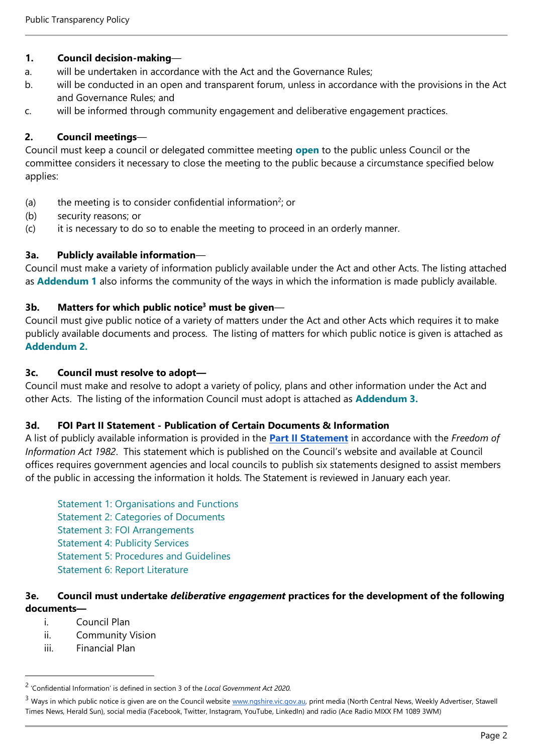## **1. Council decision-making**—

- a. will be undertaken in accordance with the Act and the Governance Rules;
- b. will be conducted in an open and transparent forum, unless in accordance with the provisions in the Act and Governance Rules; and
- c. will be informed through community engagement and deliberative engagement practices.

## **2. Council meetings**—

Council must keep a council or delegated committee meeting **open** to the public unless Council or the committee considers it necessary to close the meeting to the public because a circumstance specified below applies:

- (a) the meeting is to consider confidential information<sup>2</sup>; or
- (b) security reasons; or
- (c) it is necessary to do so to enable the meeting to proceed in an orderly manner.

# **3a. Publicly available information**—

Council must make a variety of information publicly available under the Act and other Acts. The listing attached as **Addendum 1** also informs the community of the ways in which the information is made publicly available.

# **3b. Matters for which public notice<sup>3</sup> must be given**—

Council must give public notice of a variety of matters under the Act and other Acts which requires it to make publicly available documents and process. The listing of matters for which public notice is given is attached as **Addendum 2.**

## **3c. Council must resolve to adopt—**

Council must make and resolve to adopt a variety of policy, plans and other information under the Act and other Acts. The listing of the information Council must adopt is attached as **Addendum 3.**

## **3d. FOI Part II Statement - Publication of Certain Documents & Information**

A list of publicly available information is provided in the **[Part II Statement](https://www.ngshire.vic.gov.au/files/assets/public/document-resources/corporate/docs-for-public-inspection/foi-part-ii-statements-2021.pdf)** in accordance with the *Freedom of Information Act 1982*. This statement which is published on the Council's website and available at Council offices requires government agencies and local councils to publish six statements designed to assist members of the public in accessing the information it holds. The Statement is reviewed in January each year.

Statement 1: Organisations and Functions Statement 2: Categories of Documents Statement 3: FOI Arrangements Statement 4: Publicity Services Statement 5: Procedures and Guidelines Statement 6: Report Literature

### **3e. Council must undertake** *deliberative engagement* **practices for the development of the following documents—**

- i. Council Plan
- ii. Community Vision
- iii. Financial Plan

<sup>2</sup> 'Confidential Information' is defined in section 3 of the *Local Government Act 2020.*

<sup>&</sup>lt;sup>3</sup> Ways in which public notice is given are on the Council websit[e www.ngshire.vic.gov.au,](http://www.ngshire.vic.gov.au/) print media (North Central News, Weekly Advertiser, Stawell Times News, Herald Sun), social media (Facebook, Twitter, Instagram, YouTube, LinkedIn) and radio (Ace Radio MIXX FM 1089 3WM)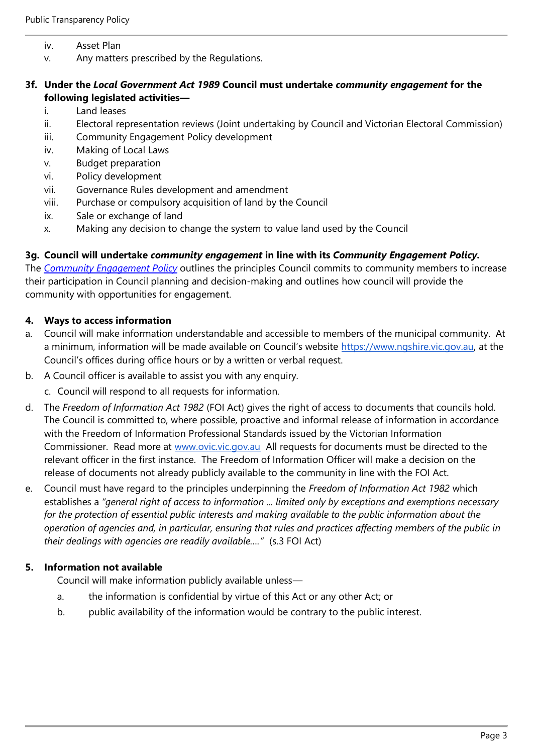- iv. Asset Plan
- v. Any matters prescribed by the Regulations.

#### **3f. Under the** *Local Government Act 1989* **Council must undertake** *community engagement* **for the following legislated activities—**

- i. Land leases
- ii. Electoral representation reviews (Joint undertaking by Council and Victorian Electoral Commission)
- iii. Community Engagement Policy development
- iv. Making of Local Laws
- v. Budget preparation
- vi. Policy development
- vii. Governance Rules development and amendment
- viii. Purchase or compulsory acquisition of land by the Council
- ix. Sale or exchange of land
- x. Making any decision to change the system to value land used by the Council

#### **3g. Council will undertake** *community engagement* **in line with its** *Community Engagement Policy.*

The *[Community Engagement Policy](https://www.ngshire.vic.gov.au/files/assets/public/document-resources/council-policies/community-engagement-policy-2021.pdf)* outlines the principles Council commits to community members to increase their participation in Council planning and decision-making and outlines how council will provide the community with opportunities for engagement.

#### **4. Ways to access information**

- a. Council will make information understandable and accessible to members of the municipal community. At a minimum, information will be made available on Council's website [https://www.ngshire.vic.gov.au,](https://www.ngshire.vic.gov.au/Home) at the Council's offices during office hours or by a written or verbal request.
- b. A Council officer is available to assist you with any enquiry.
	- c. Council will respond to all requests for information.
- d. The *Freedom of Information Act 1982* (FOI Act) gives the right of access to documents that councils hold. The Council is committed to, where possible, proactive and informal release of information in accordance with the Freedom of Information Professional Standards issued by the Victorian Information Commissioner. Read more at [www.ovic.vic.gov.au](http://www.ovic.vic.gov.au/) All requests for documents must be directed to the relevant officer in the first instance. The Freedom of Information Officer will make a decision on the release of documents not already publicly available to the community in line with the FOI Act.
- e. Council must have regard to the principles underpinning the *Freedom of Information Act 1982* which establishes a *"general right of access to information ... limited only by exceptions and exemptions necessary for the protection of essential public interests and making available to the public information about the operation of agencies and, in particular, ensuring that rules and practices affecting members of the public in their dealings with agencies are readily available…."* (s.3 FOI Act)

#### **5. Information not available**

Council will make information publicly available unless—

- a. the information is confidential by virtue of this Act or any other Act; or
- b. public availability of the information would be contrary to the public interest.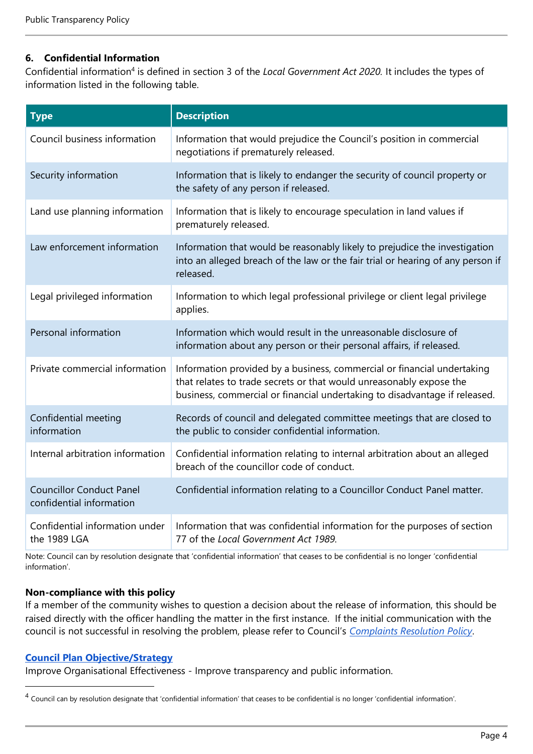#### **6. Confidential Information**

Confidential information<sup>4</sup> is defined in section 3 of the *Local Government Act 2020*. It includes the types of information listed in the following table.

| <b>Type</b>                                                 | <b>Description</b>                                                                                                                                                                                                           |
|-------------------------------------------------------------|------------------------------------------------------------------------------------------------------------------------------------------------------------------------------------------------------------------------------|
| Council business information                                | Information that would prejudice the Council's position in commercial<br>negotiations if prematurely released.                                                                                                               |
| Security information                                        | Information that is likely to endanger the security of council property or<br>the safety of any person if released.                                                                                                          |
| Land use planning information                               | Information that is likely to encourage speculation in land values if<br>prematurely released.                                                                                                                               |
| Law enforcement information                                 | Information that would be reasonably likely to prejudice the investigation<br>into an alleged breach of the law or the fair trial or hearing of any person if<br>released.                                                   |
| Legal privileged information                                | Information to which legal professional privilege or client legal privilege<br>applies.                                                                                                                                      |
| Personal information                                        | Information which would result in the unreasonable disclosure of<br>information about any person or their personal affairs, if released.                                                                                     |
| Private commercial information                              | Information provided by a business, commercial or financial undertaking<br>that relates to trade secrets or that would unreasonably expose the<br>business, commercial or financial undertaking to disadvantage if released. |
| Confidential meeting<br>information                         | Records of council and delegated committee meetings that are closed to<br>the public to consider confidential information.                                                                                                   |
| Internal arbitration information                            | Confidential information relating to internal arbitration about an alleged<br>breach of the councillor code of conduct.                                                                                                      |
| <b>Councillor Conduct Panel</b><br>confidential information | Confidential information relating to a Councillor Conduct Panel matter.                                                                                                                                                      |
| Confidential information under<br>the 1989 LGA              | Information that was confidential information for the purposes of section<br>77 of the Local Government Act 1989.                                                                                                            |

Note: Council can by resolution designate that 'confidential information' that ceases to be confidential is no longer 'confidential information'.

#### **Non-compliance with this policy**

If a member of the community wishes to question a decision about the release of information, this should be raised directly with the officer handling the matter in the first instance. If the initial communication with the council is not successful in resolving the problem, please refer to Council's *[Complaints Resolution Policy](https://www.ngshire.vic.gov.au/files/assets/public/document-resources/corporate/docs-for-public-inspection/complaints-resolution-policy.pdf)*.

#### **[Council Plan](https://docs.google.com/document/d/15hJirPjjxh1_9YgI9CUFlN1_nOLrIs9ojxVxlZYIGto/edit) [Objective/Strategy](https://docs.google.com/document/d/15hJirPjjxh1_9YgI9CUFlN1_nOLrIs9ojxVxlZYIGto/edit)**

Improve Organisational Effectiveness - Improve transparency and public information.

<sup>&</sup>lt;sup>4</sup> Council can by resolution designate that 'confidential information' that ceases to be confidential is no longer 'confidential information'.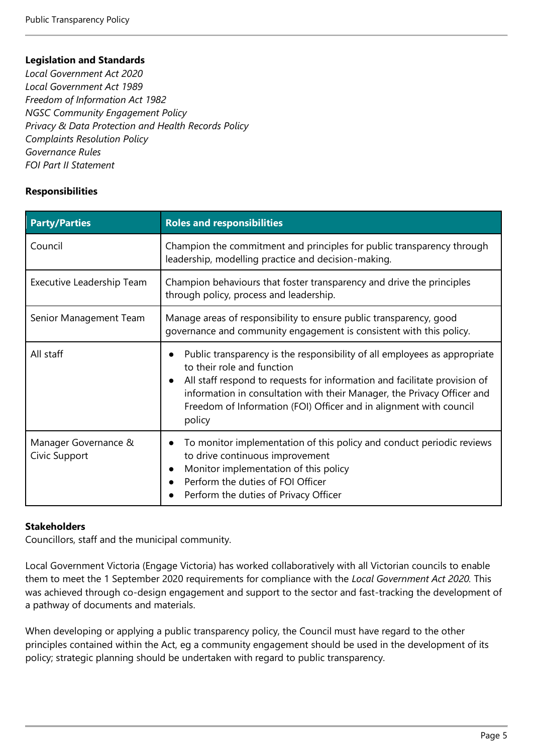#### **Legislation and Standards**

*Local Government Act 2020 Local Government Act 1989 Freedom of Information Act 1982 NGSC Community Engagement Policy Privacy & Data Protection and Health Records Policy Complaints Resolution Policy Governance Rules FOI Part II Statement*

#### **Responsibilities**

| <b>Party/Parties</b>                  | <b>Roles and responsibilities</b>                                                                                                                                                                                                                                                                                                               |  |
|---------------------------------------|-------------------------------------------------------------------------------------------------------------------------------------------------------------------------------------------------------------------------------------------------------------------------------------------------------------------------------------------------|--|
| Council                               | Champion the commitment and principles for public transparency through<br>leadership, modelling practice and decision-making.                                                                                                                                                                                                                   |  |
| Executive Leadership Team             | Champion behaviours that foster transparency and drive the principles<br>through policy, process and leadership.                                                                                                                                                                                                                                |  |
| Senior Management Team                | Manage areas of responsibility to ensure public transparency, good<br>governance and community engagement is consistent with this policy.                                                                                                                                                                                                       |  |
| All staff                             | Public transparency is the responsibility of all employees as appropriate<br>to their role and function<br>All staff respond to requests for information and facilitate provision of<br>information in consultation with their Manager, the Privacy Officer and<br>Freedom of Information (FOI) Officer and in alignment with council<br>policy |  |
| Manager Governance &<br>Civic Support | To monitor implementation of this policy and conduct periodic reviews<br>to drive continuous improvement<br>Monitor implementation of this policy<br>Perform the duties of FOI Officer<br>Perform the duties of Privacy Officer                                                                                                                 |  |

#### **Stakeholders**

Councillors, staff and the municipal community.

Local Government Victoria (Engage Victoria) has worked collaboratively with all Victorian councils to enable them to meet the 1 September 2020 requirements for compliance with the *Local Government Act 2020.* This was achieved through co-design engagement and support to the sector and fast-tracking the development of a pathway of documents and materials.

When developing or applying a public transparency policy, the Council must have regard to the other principles contained within the Act, eg a community engagement should be used in the development of its policy; strategic planning should be undertaken with regard to public transparency.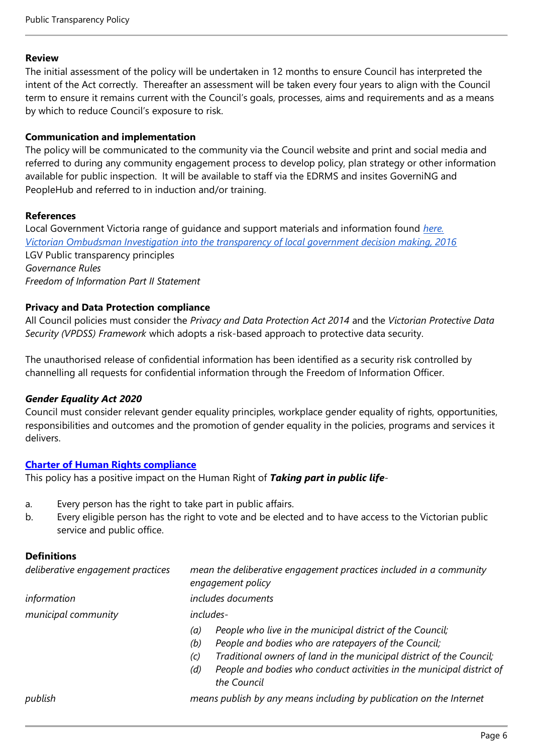#### **Review**

The initial assessment of the policy will be undertaken in 12 months to ensure Council has interpreted the intent of the Act correctly. Thereafter an assessment will be taken every four years to align with the Council term to ensure it remains current with the Council's goals, processes, aims and requirements and as a means by which to reduce Council's exposure to risk.

#### **Communication and implementation**

The policy will be communicated to the community via the Council website and print and social media and referred to during any community engagement process to develop policy, plan strategy or other information available for public inspection. It will be available to staff via the EDRMS and insites GoverniNG and PeopleHub and referred to in induction and/or training.

#### **References**

Local Government Victoria range of guidance and support materials and information found *[here.](https://engage.vic.gov.au/local-government-act-2020) [Victorian Ombudsman Investigation into the transparency of local government decision making, 2016](https://assets.ombudsman.vic.gov.au/assets/Reports/Parliamentary-Reports/1-PDF-Report-Files/Investigation-into-the-transparency-of-local-government-decision-making.pdf?mtime=20191218113407)* LGV Public transparency principles *Governance Rules Freedom of Information Part II Statement*

#### **Privacy and Data Protection compliance**

All Council policies must consider the *Privacy and Data Protection Act 2014* and the *Victorian Protective Data Security (VPDSS) Framework* which adopts a risk-based approach to protective data security.

The unauthorised release of confidential information has been identified as a security risk controlled by channelling all requests for confidential information through the Freedom of Information Officer.

#### *Gender Equality Act 2020*

Council must consider relevant gender equality principles, workplace gender equality of rights, opportunities, responsibilities and outcomes and the promotion of gender equality in the policies, programs and services it delivers.

#### **[Charter of Human Rights compliance](https://www.humanrights.vic.gov.au/legal-and-policy/victorias-human-rights-laws/the-charter/)**

This policy has a positive impact on the Human Right of *Taking part in public life*-

- a. Every person has the right to take part in public affairs.
- b. Every eligible person has the right to vote and be elected and to have access to the Victorian public service and public office.

#### **Definitions**

| deliberative engagement practices | mean the deliberative engagement practices included in a community<br>engagement policy                                                                                                                                                                                                                       |  |
|-----------------------------------|---------------------------------------------------------------------------------------------------------------------------------------------------------------------------------------------------------------------------------------------------------------------------------------------------------------|--|
| information                       | includes documents                                                                                                                                                                                                                                                                                            |  |
| municipal community               | includes-                                                                                                                                                                                                                                                                                                     |  |
|                                   | People who live in the municipal district of the Council;<br>(a)<br>People and bodies who are ratepayers of the Council;<br>(b)<br>Traditional owners of land in the municipal district of the Council;<br>(c)<br>People and bodies who conduct activities in the municipal district of<br>(d)<br>the Council |  |
| $\mathbf{1}$                      |                                                                                                                                                                                                                                                                                                               |  |

*publish means publish by any means including by publication on the Internet*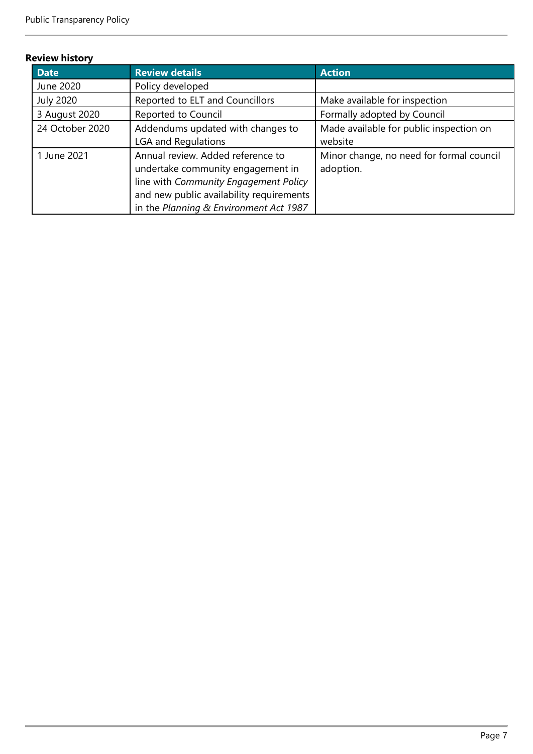#### **Review history**

| <b>Date</b>      | <b>Review details</b>                    | <b>Action</b>                            |
|------------------|------------------------------------------|------------------------------------------|
| June 2020        | Policy developed                         |                                          |
| <b>July 2020</b> | Reported to ELT and Councillors          | Make available for inspection            |
| 3 August 2020    | Reported to Council                      | Formally adopted by Council              |
| 24 October 2020  | Addendums updated with changes to        | Made available for public inspection on  |
|                  | <b>LGA and Regulations</b>               | website                                  |
| 1 June 2021      | Annual review. Added reference to        | Minor change, no need for formal council |
|                  | undertake community engagement in        | adoption.                                |
|                  | line with Community Engagement Policy    |                                          |
|                  | and new public availability requirements |                                          |
|                  | in the Planning & Environment Act 1987   |                                          |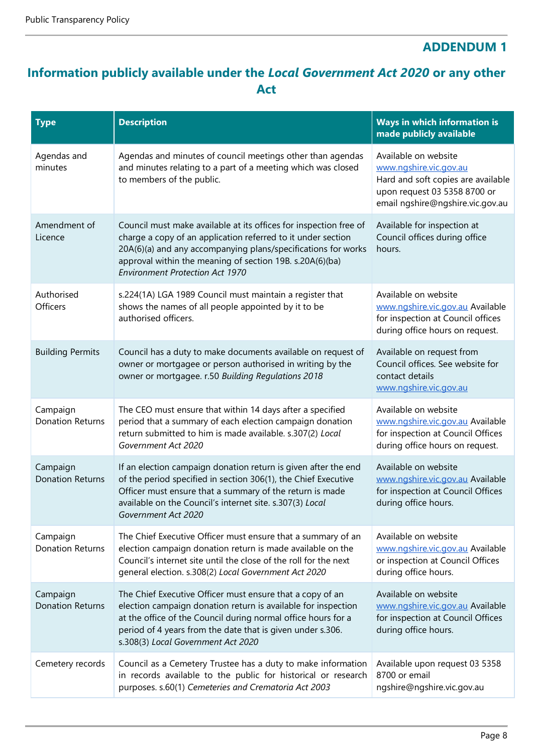# **ADDENDUM 1**

# **Information publicly available under the** *Local Government Act 2020* **or any other Act**

| <b>Type</b>                         | <b>Description</b>                                                                                                                                                                                                                                                                                       | Ways in which information is<br>made publicly available                                                                                                  |
|-------------------------------------|----------------------------------------------------------------------------------------------------------------------------------------------------------------------------------------------------------------------------------------------------------------------------------------------------------|----------------------------------------------------------------------------------------------------------------------------------------------------------|
| Agendas and<br>minutes              | Agendas and minutes of council meetings other than agendas<br>and minutes relating to a part of a meeting which was closed<br>to members of the public.                                                                                                                                                  | Available on website<br>www.ngshire.vic.gov.au<br>Hard and soft copies are available<br>upon request 03 5358 8700 or<br>email ngshire@ngshire.vic.gov.au |
| Amendment of<br>Licence             | Council must make available at its offices for inspection free of<br>charge a copy of an application referred to it under section<br>20A(6)(a) and any accompanying plans/specifications for works<br>approval within the meaning of section 19B. s.20A(6)(ba)<br><b>Environment Protection Act 1970</b> | Available for inspection at<br>Council offices during office<br>hours.                                                                                   |
| Authorised<br><b>Officers</b>       | s.224(1A) LGA 1989 Council must maintain a register that<br>shows the names of all people appointed by it to be<br>authorised officers.                                                                                                                                                                  | Available on website<br>www.ngshire.vic.gov.au Available<br>for inspection at Council offices<br>during office hours on request.                         |
| <b>Building Permits</b>             | Council has a duty to make documents available on request of<br>owner or mortgagee or person authorised in writing by the<br>owner or mortgagee. r.50 Building Regulations 2018                                                                                                                          | Available on request from<br>Council offices. See website for<br>contact details<br>www.ngshire.vic.gov.au                                               |
| Campaign<br><b>Donation Returns</b> | The CEO must ensure that within 14 days after a specified<br>period that a summary of each election campaign donation<br>return submitted to him is made available. s.307(2) Local<br>Government Act 2020                                                                                                | Available on website<br>www.ngshire.vic.gov.au Available<br>for inspection at Council Offices<br>during office hours on request.                         |
| Campaign<br><b>Donation Returns</b> | If an election campaign donation return is given after the end<br>of the period specified in section 306(1), the Chief Executive<br>Officer must ensure that a summary of the return is made<br>available on the Council's internet site. s.307(3) Local<br>Government Act 2020                          | Available on website<br>www.ngshire.vic.gov.au Available<br>for inspection at Council Offices<br>during office hours.                                    |
| Campaign<br><b>Donation Returns</b> | The Chief Executive Officer must ensure that a summary of an<br>election campaign donation return is made available on the<br>Council's internet site until the close of the roll for the next<br>general election. s.308(2) Local Government Act 2020                                                   | Available on website<br>www.ngshire.vic.gov.au Available<br>or inspection at Council Offices<br>during office hours.                                     |
| Campaign<br><b>Donation Returns</b> | The Chief Executive Officer must ensure that a copy of an<br>election campaign donation return is available for inspection<br>at the office of the Council during normal office hours for a<br>period of 4 years from the date that is given under s.306.<br>s.308(3) Local Government Act 2020          | Available on website<br>www.ngshire.vic.gov.au Available<br>for inspection at Council Offices<br>during office hours.                                    |
| Cemetery records                    | Council as a Cemetery Trustee has a duty to make information<br>in records available to the public for historical or research<br>purposes. s.60(1) Cemeteries and Crematoria Act 2003                                                                                                                    | Available upon request 03 5358<br>8700 or email<br>ngshire@ngshire.vic.gov.au                                                                            |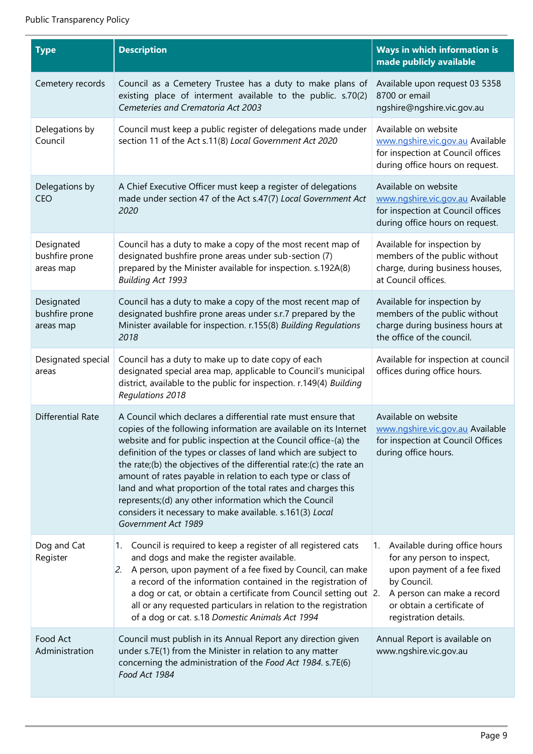L.

| <b>Type</b>                               | <b>Description</b>                                                                                                                                                                                                                                                                                                                                                                                                                                                                                                                                                                                                            | <b>Ways in which information is</b><br>made publicly available                                                                                                                                    |
|-------------------------------------------|-------------------------------------------------------------------------------------------------------------------------------------------------------------------------------------------------------------------------------------------------------------------------------------------------------------------------------------------------------------------------------------------------------------------------------------------------------------------------------------------------------------------------------------------------------------------------------------------------------------------------------|---------------------------------------------------------------------------------------------------------------------------------------------------------------------------------------------------|
| Cemetery records                          | Council as a Cemetery Trustee has a duty to make plans of<br>existing place of interment available to the public. s.70(2)<br>Cemeteries and Crematoria Act 2003                                                                                                                                                                                                                                                                                                                                                                                                                                                               | Available upon request 03 5358<br>8700 or email<br>ngshire@ngshire.vic.gov.au                                                                                                                     |
| Delegations by<br>Council                 | Council must keep a public register of delegations made under<br>section 11 of the Act s.11(8) Local Government Act 2020                                                                                                                                                                                                                                                                                                                                                                                                                                                                                                      | Available on website<br>www.ngshire.vic.gov.au Available<br>for inspection at Council offices<br>during office hours on request.                                                                  |
| Delegations by<br><b>CEO</b>              | A Chief Executive Officer must keep a register of delegations<br>made under section 47 of the Act s.47(7) Local Government Act<br>2020                                                                                                                                                                                                                                                                                                                                                                                                                                                                                        | Available on website<br>www.ngshire.vic.gov.au Available<br>for inspection at Council offices<br>during office hours on request.                                                                  |
| Designated<br>bushfire prone<br>areas map | Council has a duty to make a copy of the most recent map of<br>designated bushfire prone areas under sub-section (7)<br>prepared by the Minister available for inspection. s.192A(8)<br><b>Building Act 1993</b>                                                                                                                                                                                                                                                                                                                                                                                                              | Available for inspection by<br>members of the public without<br>charge, during business houses,<br>at Council offices.                                                                            |
| Designated<br>bushfire prone<br>areas map | Council has a duty to make a copy of the most recent map of<br>designated bushfire prone areas under s.r.7 prepared by the<br>Minister available for inspection. r.155(8) Building Regulations<br>2018                                                                                                                                                                                                                                                                                                                                                                                                                        | Available for inspection by<br>members of the public without<br>charge during business hours at<br>the office of the council.                                                                     |
| Designated special<br>areas               | Council has a duty to make up to date copy of each<br>designated special area map, applicable to Council's municipal<br>district, available to the public for inspection. r.149(4) Building<br><b>Regulations 2018</b>                                                                                                                                                                                                                                                                                                                                                                                                        | Available for inspection at council<br>offices during office hours.                                                                                                                               |
| <b>Differential Rate</b>                  | A Council which declares a differential rate must ensure that<br>copies of the following information are available on its Internet<br>website and for public inspection at the Council office-(a) the<br>definition of the types or classes of land which are subject to<br>the rate;(b) the objectives of the differential rate:(c) the rate an<br>amount of rates payable in relation to each type or class of<br>land and what proportion of the total rates and charges this<br>represents;(d) any other information which the Council<br>considers it necessary to make available. s.161(3) Local<br>Government Act 1989 | Available on website<br>www.ngshire.vic.gov.au Available<br>for inspection at Council Offices<br>during office hours.                                                                             |
| Dog and Cat<br>Register                   | Council is required to keep a register of all registered cats<br>1.<br>and dogs and make the register available.<br>2. A person, upon payment of a fee fixed by Council, can make<br>a record of the information contained in the registration of<br>a dog or cat, or obtain a certificate from Council setting out 2.<br>all or any requested particulars in relation to the registration<br>of a dog or cat. s.18 Domestic Animals Act 1994                                                                                                                                                                                 | 1. Available during office hours<br>for any person to inspect,<br>upon payment of a fee fixed<br>by Council.<br>A person can make a record<br>or obtain a certificate of<br>registration details. |
| Food Act<br>Administration                | Council must publish in its Annual Report any direction given<br>under s.7E(1) from the Minister in relation to any matter<br>concerning the administration of the Food Act 1984. s.7E(6)<br>Food Act 1984                                                                                                                                                                                                                                                                                                                                                                                                                    | Annual Report is available on<br>www.ngshire.vic.gov.au                                                                                                                                           |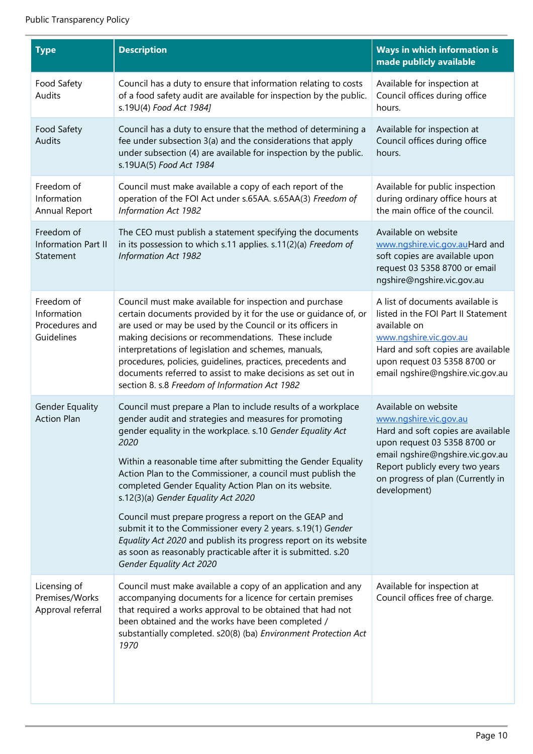L.

| <b>Type</b>                                               | <b>Description</b>                                                                                                                                                                                                                                                                                                                                                                                                                                                                                                                                                                                                                                                                                                      | Ways in which information is<br>made publicly available                                                                                                                                                                                          |
|-----------------------------------------------------------|-------------------------------------------------------------------------------------------------------------------------------------------------------------------------------------------------------------------------------------------------------------------------------------------------------------------------------------------------------------------------------------------------------------------------------------------------------------------------------------------------------------------------------------------------------------------------------------------------------------------------------------------------------------------------------------------------------------------------|--------------------------------------------------------------------------------------------------------------------------------------------------------------------------------------------------------------------------------------------------|
| Food Safety<br>Audits                                     | Council has a duty to ensure that information relating to costs<br>of a food safety audit are available for inspection by the public.<br>s.19U(4) Food Act 1984]                                                                                                                                                                                                                                                                                                                                                                                                                                                                                                                                                        | Available for inspection at<br>Council offices during office<br>hours.                                                                                                                                                                           |
| Food Safety<br><b>Audits</b>                              | Council has a duty to ensure that the method of determining a<br>fee under subsection 3(a) and the considerations that apply<br>under subsection (4) are available for inspection by the public.<br>s.19UA(5) Food Act 1984                                                                                                                                                                                                                                                                                                                                                                                                                                                                                             | Available for inspection at<br>Council offices during office<br>hours.                                                                                                                                                                           |
| Freedom of<br>Information<br>Annual Report                | Council must make available a copy of each report of the<br>operation of the FOI Act under s.65AA. s.65AA(3) Freedom of<br><b>Information Act 1982</b>                                                                                                                                                                                                                                                                                                                                                                                                                                                                                                                                                                  | Available for public inspection<br>during ordinary office hours at<br>the main office of the council.                                                                                                                                            |
| Freedom of<br><b>Information Part II</b><br>Statement     | The CEO must publish a statement specifying the documents<br>in its possession to which s.11 applies. s.11(2)(a) Freedom of<br><b>Information Act 1982</b>                                                                                                                                                                                                                                                                                                                                                                                                                                                                                                                                                              | Available on website<br>www.ngshire.vic.gov.auHard and<br>soft copies are available upon<br>request 03 5358 8700 or email<br>ngshire@ngshire.vic.gov.au                                                                                          |
| Freedom of<br>Information<br>Procedures and<br>Guidelines | Council must make available for inspection and purchase<br>certain documents provided by it for the use or guidance of, or<br>are used or may be used by the Council or its officers in<br>making decisions or recommendations. These include<br>interpretations of legislation and schemes, manuals,<br>procedures, policies, quidelines, practices, precedents and<br>documents referred to assist to make decisions as set out in<br>section 8. s.8 Freedom of Information Act 1982                                                                                                                                                                                                                                  | A list of documents available is<br>listed in the FOI Part II Statement<br>available on<br>www.ngshire.vic.gov.au<br>Hard and soft copies are available<br>upon request 03 5358 8700 or<br>email ngshire@ngshire.vic.gov.au                      |
| <b>Gender Equality</b><br><b>Action Plan</b>              | Council must prepare a Plan to include results of a workplace<br>gender audit and strategies and measures for promoting<br>gender equality in the workplace. s.10 Gender Equality Act<br>2020<br>Within a reasonable time after submitting the Gender Equality<br>Action Plan to the Commissioner, a council must publish the<br>completed Gender Equality Action Plan on its website.<br>s.12(3)(a) Gender Equality Act 2020<br>Council must prepare progress a report on the GEAP and<br>submit it to the Commissioner every 2 years. s.19(1) Gender<br>Equality Act 2020 and publish its progress report on its website<br>as soon as reasonably practicable after it is submitted. s.20<br>Gender Equality Act 2020 | Available on website<br>www.ngshire.vic.gov.au<br>Hard and soft copies are available<br>upon request 03 5358 8700 or<br>email ngshire@ngshire.vic.gov.au<br>Report publicly every two years<br>on progress of plan (Currently in<br>development) |
| Licensing of<br>Premises/Works<br>Approval referral       | Council must make available a copy of an application and any<br>accompanying documents for a licence for certain premises<br>that required a works approval to be obtained that had not<br>been obtained and the works have been completed /<br>substantially completed. s20(8) (ba) Environment Protection Act<br>1970                                                                                                                                                                                                                                                                                                                                                                                                 | Available for inspection at<br>Council offices free of charge.                                                                                                                                                                                   |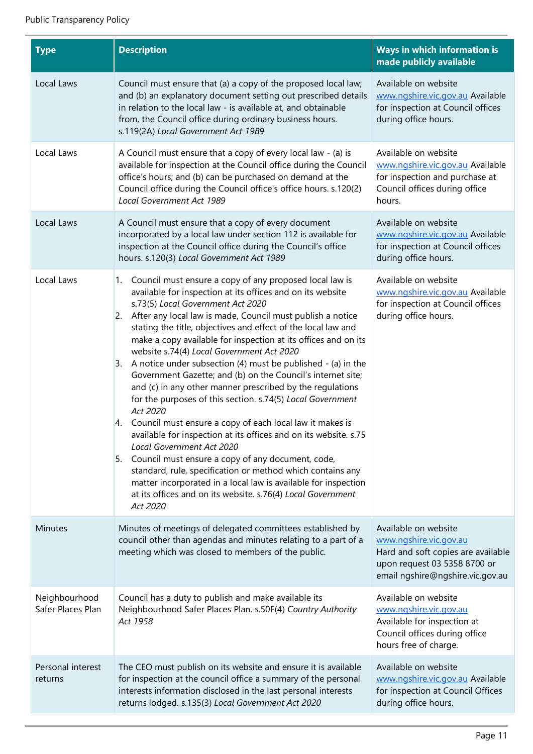| <b>Type</b>                        | <b>Description</b>                                                                                                                                                                                                                                                                                                                                                                                                                                                                                                                                                                                                                                                                                                                                                                                                                                                                                                                                                                                                                                                                                                                  | <b>Ways in which information is</b><br>made publicly available                                                                                           |
|------------------------------------|-------------------------------------------------------------------------------------------------------------------------------------------------------------------------------------------------------------------------------------------------------------------------------------------------------------------------------------------------------------------------------------------------------------------------------------------------------------------------------------------------------------------------------------------------------------------------------------------------------------------------------------------------------------------------------------------------------------------------------------------------------------------------------------------------------------------------------------------------------------------------------------------------------------------------------------------------------------------------------------------------------------------------------------------------------------------------------------------------------------------------------------|----------------------------------------------------------------------------------------------------------------------------------------------------------|
| Local Laws                         | Council must ensure that (a) a copy of the proposed local law;<br>and (b) an explanatory document setting out prescribed details<br>in relation to the local law - is available at, and obtainable<br>from, the Council office during ordinary business hours.<br>s.119(2A) Local Government Act 1989                                                                                                                                                                                                                                                                                                                                                                                                                                                                                                                                                                                                                                                                                                                                                                                                                               | Available on website<br>www.ngshire.vic.gov.au Available<br>for inspection at Council offices<br>during office hours.                                    |
| Local Laws                         | A Council must ensure that a copy of every local law - (a) is<br>available for inspection at the Council office during the Council<br>office's hours; and (b) can be purchased on demand at the<br>Council office during the Council office's office hours. s.120(2)<br>Local Government Act 1989                                                                                                                                                                                                                                                                                                                                                                                                                                                                                                                                                                                                                                                                                                                                                                                                                                   | Available on website<br>www.ngshire.vic.gov.au Available<br>for inspection and purchase at<br>Council offices during office<br>hours.                    |
| Local Laws                         | A Council must ensure that a copy of every document<br>incorporated by a local law under section 112 is available for<br>inspection at the Council office during the Council's office<br>hours. s.120(3) Local Government Act 1989                                                                                                                                                                                                                                                                                                                                                                                                                                                                                                                                                                                                                                                                                                                                                                                                                                                                                                  | Available on website<br>www.ngshire.vic.gov.au Available<br>for inspection at Council offices<br>during office hours.                                    |
| Local Laws                         | Council must ensure a copy of any proposed local law is<br>1.<br>available for inspection at its offices and on its website<br>s.73(5) Local Government Act 2020<br>After any local law is made, Council must publish a notice<br>2.<br>stating the title, objectives and effect of the local law and<br>make a copy available for inspection at its offices and on its<br>website s.74(4) Local Government Act 2020<br>A notice under subsection (4) must be published - (a) in the<br>3.<br>Government Gazette; and (b) on the Council's internet site;<br>and (c) in any other manner prescribed by the regulations<br>for the purposes of this section. s.74(5) Local Government<br>Act 2020<br>4. Council must ensure a copy of each local law it makes is<br>available for inspection at its offices and on its website. s.75<br>Local Government Act 2020<br>5. Council must ensure a copy of any document, code,<br>standard, rule, specification or method which contains any<br>matter incorporated in a local law is available for inspection<br>at its offices and on its website. s.76(4) Local Government<br>Act 2020 | Available on website<br>www.ngshire.vic.gov.au Available<br>for inspection at Council offices<br>during office hours.                                    |
| <b>Minutes</b>                     | Minutes of meetings of delegated committees established by<br>council other than agendas and minutes relating to a part of a<br>meeting which was closed to members of the public.                                                                                                                                                                                                                                                                                                                                                                                                                                                                                                                                                                                                                                                                                                                                                                                                                                                                                                                                                  | Available on website<br>www.ngshire.vic.gov.au<br>Hard and soft copies are available<br>upon request 03 5358 8700 or<br>email ngshire@ngshire.vic.gov.au |
| Neighbourhood<br>Safer Places Plan | Council has a duty to publish and make available its<br>Neighbourhood Safer Places Plan. s.50F(4) Country Authority<br>Act 1958                                                                                                                                                                                                                                                                                                                                                                                                                                                                                                                                                                                                                                                                                                                                                                                                                                                                                                                                                                                                     | Available on website<br>www.ngshire.vic.gov.au<br>Available for inspection at<br>Council offices during office<br>hours free of charge.                  |
| Personal interest<br>returns       | The CEO must publish on its website and ensure it is available<br>for inspection at the council office a summary of the personal<br>interests information disclosed in the last personal interests<br>returns lodged. s.135(3) Local Government Act 2020                                                                                                                                                                                                                                                                                                                                                                                                                                                                                                                                                                                                                                                                                                                                                                                                                                                                            | Available on website<br>www.ngshire.vic.gov.au Available<br>for inspection at Council Offices<br>during office hours.                                    |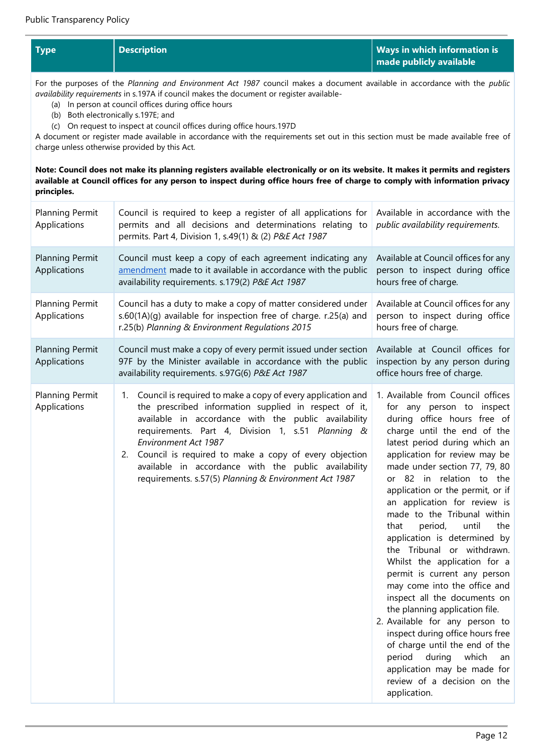| <b>Type</b> | <b>Description</b> | Ways in which information is |
|-------------|--------------------|------------------------------|
|             |                    | made publicly available      |

For the purposes of the *Planning and Environment Act 1987* council makes a document available in accordance with the *public availability requirements* in s.197A if council makes the document or register available-

- (a) In person at council offices during office hours
- (b) Both electronically s.197E; and
- (c) On request to inspect at council offices during office hours.197D

A document or register made available in accordance with the requirements set out in this section must be made available free of charge unless otherwise provided by this Act.

**Note: Council does not make its planning registers available electronically or on its website. It makes it permits and registers available at Council offices for any person to inspect during office hours free of charge to comply with information privacy principles.**

| <b>Planning Permit</b><br>Applications | Council is required to keep a register of all applications for<br>permits and all decisions and determinations relating to<br>permits. Part 4, Division 1, s.49(1) & (2) P&E Act 1987                                                                                                                                                                                                                                                           | Available in accordance with the<br>public availability requirements.                                                                                                                                                                                                                                                                                                                                                                                                                                                                                                                                                                                                                                                                                                                                                                                      |
|----------------------------------------|-------------------------------------------------------------------------------------------------------------------------------------------------------------------------------------------------------------------------------------------------------------------------------------------------------------------------------------------------------------------------------------------------------------------------------------------------|------------------------------------------------------------------------------------------------------------------------------------------------------------------------------------------------------------------------------------------------------------------------------------------------------------------------------------------------------------------------------------------------------------------------------------------------------------------------------------------------------------------------------------------------------------------------------------------------------------------------------------------------------------------------------------------------------------------------------------------------------------------------------------------------------------------------------------------------------------|
| <b>Planning Permit</b><br>Applications | Council must keep a copy of each agreement indicating any<br>amendment made to it available in accordance with the public<br>availability requirements. s.179(2) P&E Act 1987                                                                                                                                                                                                                                                                   | Available at Council offices for any<br>person to inspect during office<br>hours free of charge.                                                                                                                                                                                                                                                                                                                                                                                                                                                                                                                                                                                                                                                                                                                                                           |
| <b>Planning Permit</b><br>Applications | Council has a duty to make a copy of matter considered under<br>s.60(1A)(g) available for inspection free of charge. r.25(a) and<br>r.25(b) Planning & Environment Regulations 2015                                                                                                                                                                                                                                                             | Available at Council offices for any<br>person to inspect during office<br>hours free of charge.                                                                                                                                                                                                                                                                                                                                                                                                                                                                                                                                                                                                                                                                                                                                                           |
| <b>Planning Permit</b><br>Applications | Council must make a copy of every permit issued under section<br>97F by the Minister available in accordance with the public<br>availability requirements. s.97G(6) P&E Act 1987                                                                                                                                                                                                                                                                | Available at Council offices for<br>inspection by any person during<br>office hours free of charge.                                                                                                                                                                                                                                                                                                                                                                                                                                                                                                                                                                                                                                                                                                                                                        |
| Planning Permit<br>Applications        | Council is required to make a copy of every application and<br>1.<br>the prescribed information supplied in respect of it,<br>available in accordance with the public availability<br>requirements. Part 4, Division 1, s.51 Planning &<br>Environment Act 1987<br>Council is required to make a copy of every objection<br>2.<br>available in accordance with the public availability<br>requirements. s.57(5) Planning & Environment Act 1987 | 1. Available from Council offices<br>for any person to inspect<br>during office hours free of<br>charge until the end of the<br>latest period during which an<br>application for review may be<br>made under section 77, 79, 80<br>or 82 in relation to the<br>application or the permit, or if<br>an application for review is<br>made to the Tribunal within<br>period,<br>until<br>that<br>the<br>application is determined by<br>the Tribunal or withdrawn.<br>Whilst the application for a<br>permit is current any person<br>may come into the office and<br>inspect all the documents on<br>the planning application file.<br>2. Available for any person to<br>inspect during office hours free<br>of charge until the end of the<br>period<br>during<br>which<br>an<br>application may be made for<br>review of a decision on the<br>application. |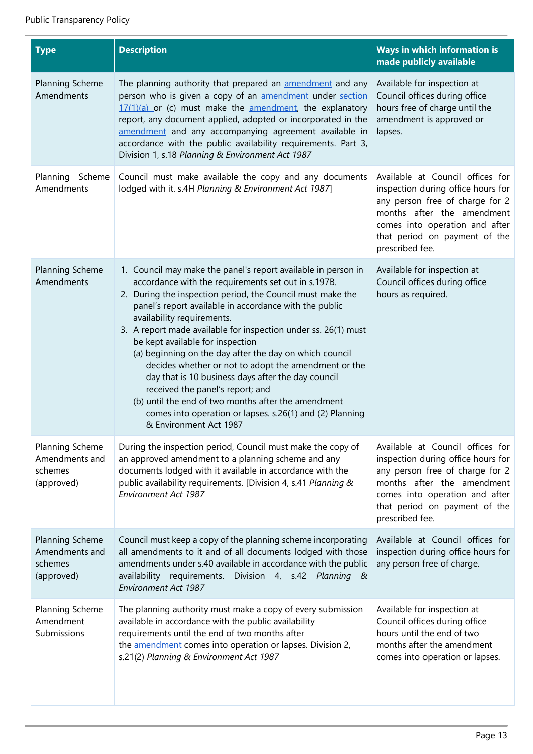| <b>Type</b>                                                       | <b>Description</b>                                                                                                                                                                                                                                                                                                                                                                                                                                                                                                                                                                                                                                                                                                                         | <b>Ways in which information is</b><br>made publicly available                                                                                                                                                                |
|-------------------------------------------------------------------|--------------------------------------------------------------------------------------------------------------------------------------------------------------------------------------------------------------------------------------------------------------------------------------------------------------------------------------------------------------------------------------------------------------------------------------------------------------------------------------------------------------------------------------------------------------------------------------------------------------------------------------------------------------------------------------------------------------------------------------------|-------------------------------------------------------------------------------------------------------------------------------------------------------------------------------------------------------------------------------|
| Planning Scheme<br>Amendments                                     | The planning authority that prepared an amendment and any<br>person who is given a copy of an <b>amendment</b> under section<br>$17(1)(a)$ or (c) must make the amendment, the explanatory<br>report, any document applied, adopted or incorporated in the<br>amendment and any accompanying agreement available in<br>accordance with the public availability requirements. Part 3,<br>Division 1, s.18 Planning & Environment Act 1987                                                                                                                                                                                                                                                                                                   | Available for inspection at<br>Council offices during office<br>hours free of charge until the<br>amendment is approved or<br>lapses.                                                                                         |
| Planning<br>Scheme<br>Amendments                                  | Council must make available the copy and any documents<br>lodged with it. s.4H Planning & Environment Act 1987]                                                                                                                                                                                                                                                                                                                                                                                                                                                                                                                                                                                                                            | Available at Council offices for<br>inspection during office hours for<br>any person free of charge for 2<br>months after the amendment<br>comes into operation and after<br>that period on payment of the<br>prescribed fee. |
| Planning Scheme<br>Amendments                                     | 1. Council may make the panel's report available in person in<br>accordance with the requirements set out in s.197B.<br>2. During the inspection period, the Council must make the<br>panel's report available in accordance with the public<br>availability requirements.<br>3. A report made available for inspection under ss. 26(1) must<br>be kept available for inspection<br>(a) beginning on the day after the day on which council<br>decides whether or not to adopt the amendment or the<br>day that is 10 business days after the day council<br>received the panel's report; and<br>(b) until the end of two months after the amendment<br>comes into operation or lapses. s.26(1) and (2) Planning<br>& Environment Act 1987 | Available for inspection at<br>Council offices during office<br>hours as required.                                                                                                                                            |
| Planning Scheme<br>Amendments and<br>schemes<br>(approved)        | During the inspection period, Council must make the copy of<br>an approved amendment to a planning scheme and any<br>documents lodged with it available in accordance with the<br>public availability requirements. [Division 4, s.41 Planning &<br>Environment Act 1987                                                                                                                                                                                                                                                                                                                                                                                                                                                                   | Available at Council offices for<br>inspection during office hours for<br>any person free of charge for 2<br>months after the amendment<br>comes into operation and after<br>that period on payment of the<br>prescribed fee. |
| <b>Planning Scheme</b><br>Amendments and<br>schemes<br>(approved) | Council must keep a copy of the planning scheme incorporating<br>all amendments to it and of all documents lodged with those<br>amendments under s.40 available in accordance with the public<br>availability requirements. Division 4, s.42 Planning &<br>Environment Act 1987                                                                                                                                                                                                                                                                                                                                                                                                                                                            | Available at Council offices for<br>inspection during office hours for<br>any person free of charge.                                                                                                                          |
| Planning Scheme<br>Amendment<br>Submissions                       | The planning authority must make a copy of every submission<br>available in accordance with the public availability<br>requirements until the end of two months after<br>the amendment comes into operation or lapses. Division 2,<br>s.21(2) Planning & Environment Act 1987                                                                                                                                                                                                                                                                                                                                                                                                                                                              | Available for inspection at<br>Council offices during office<br>hours until the end of two<br>months after the amendment<br>comes into operation or lapses.                                                                   |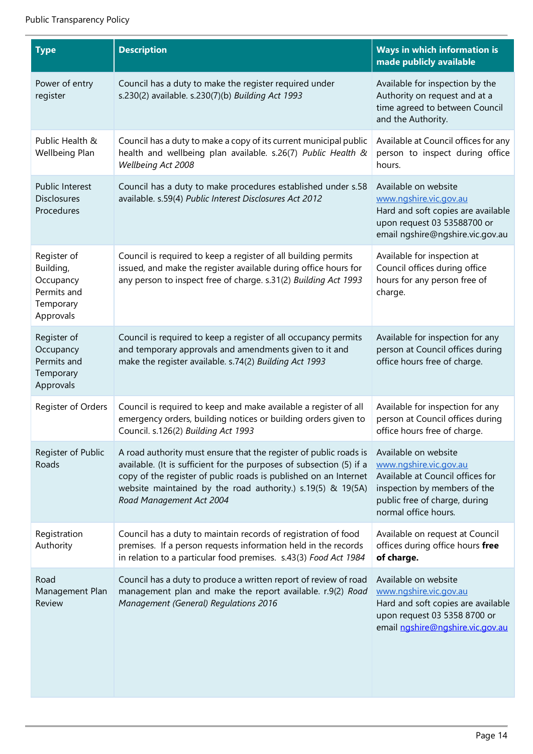| <b>Type</b>                                                                    | <b>Description</b>                                                                                                                                                                                                                                                                                       | Ways in which information is<br>made publicly available                                                                                                                     |
|--------------------------------------------------------------------------------|----------------------------------------------------------------------------------------------------------------------------------------------------------------------------------------------------------------------------------------------------------------------------------------------------------|-----------------------------------------------------------------------------------------------------------------------------------------------------------------------------|
| Power of entry<br>register                                                     | Council has a duty to make the register required under<br>s.230(2) available. s.230(7)(b) Building Act 1993                                                                                                                                                                                              | Available for inspection by the<br>Authority on request and at a<br>time agreed to between Council<br>and the Authority.                                                    |
| Public Health &<br>Wellbeing Plan                                              | Council has a duty to make a copy of its current municipal public<br>health and wellbeing plan available. s.26(7) Public Health &<br>Wellbeing Act 2008                                                                                                                                                  | Available at Council offices for any<br>person to inspect during office<br>hours.                                                                                           |
| Public Interest<br><b>Disclosures</b><br>Procedures                            | Council has a duty to make procedures established under s.58<br>available. s.59(4) Public Interest Disclosures Act 2012                                                                                                                                                                                  | Available on website<br>www.ngshire.vic.gov.au<br>Hard and soft copies are available<br>upon request 03 53588700 or<br>email ngshire@ngshire.vic.gov.au                     |
| Register of<br>Building,<br>Occupancy<br>Permits and<br>Temporary<br>Approvals | Council is required to keep a register of all building permits<br>issued, and make the register available during office hours for<br>any person to inspect free of charge. s.31(2) Building Act 1993                                                                                                     | Available for inspection at<br>Council offices during office<br>hours for any person free of<br>charge.                                                                     |
| Register of<br>Occupancy<br>Permits and<br>Temporary<br>Approvals              | Council is required to keep a register of all occupancy permits<br>and temporary approvals and amendments given to it and<br>make the register available. s.74(2) Building Act 1993                                                                                                                      | Available for inspection for any<br>person at Council offices during<br>office hours free of charge.                                                                        |
| Register of Orders                                                             | Council is required to keep and make available a register of all<br>emergency orders, building notices or building orders given to<br>Council. s.126(2) Building Act 1993                                                                                                                                | Available for inspection for any<br>person at Council offices during<br>office hours free of charge.                                                                        |
| Register of Public<br>Roads                                                    | A road authority must ensure that the register of public roads is<br>available. (It is sufficient for the purposes of subsection (5) if a<br>copy of the register of public roads is published on an Internet<br>website maintained by the road authority.) s.19(5) & 19(5A)<br>Road Management Act 2004 | Available on website<br>www.ngshire.vic.gov.au<br>Available at Council offices for<br>inspection by members of the<br>public free of charge, during<br>normal office hours. |
| Registration<br>Authority                                                      | Council has a duty to maintain records of registration of food<br>premises. If a person requests information held in the records<br>in relation to a particular food premises. s.43(3) Food Act 1984                                                                                                     | Available on request at Council<br>offices during office hours free<br>of charge.                                                                                           |
| Road<br>Management Plan<br>Review                                              | Council has a duty to produce a written report of review of road<br>management plan and make the report available. r.9(2) Road<br><b>Management (General) Regulations 2016</b>                                                                                                                           | Available on website<br>www.ngshire.vic.gov.au<br>Hard and soft copies are available<br>upon request 03 5358 8700 or<br>email ngshire@ngshire.vic.gov.au                    |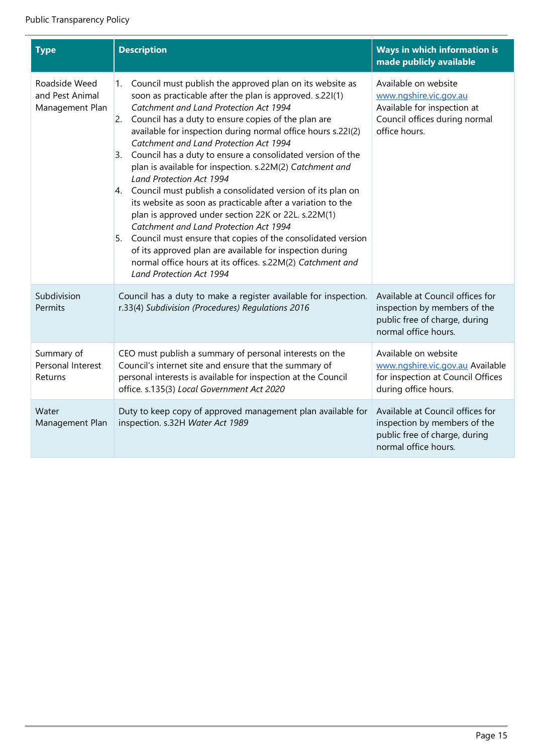i.

| <b>Type</b>                                         | <b>Description</b>                                                                                                                                                                                                                                                                                                                                                                                                                                                                                                                                                                                                                                                                                                                                                                                                                                                                                                                                                                              | Ways in which information is<br>made publicly available                                                                         |
|-----------------------------------------------------|-------------------------------------------------------------------------------------------------------------------------------------------------------------------------------------------------------------------------------------------------------------------------------------------------------------------------------------------------------------------------------------------------------------------------------------------------------------------------------------------------------------------------------------------------------------------------------------------------------------------------------------------------------------------------------------------------------------------------------------------------------------------------------------------------------------------------------------------------------------------------------------------------------------------------------------------------------------------------------------------------|---------------------------------------------------------------------------------------------------------------------------------|
| Roadside Weed<br>and Pest Animal<br>Management Plan | Council must publish the approved plan on its website as<br>1.<br>soon as practicable after the plan is approved. s.22I(1)<br>Catchment and Land Protection Act 1994<br>Council has a duty to ensure copies of the plan are<br>$\overline{2}$ .<br>available for inspection during normal office hours s.22I(2)<br>Catchment and Land Protection Act 1994<br>Council has a duty to ensure a consolidated version of the<br>3.<br>plan is available for inspection. s.22M(2) Catchment and<br><b>Land Protection Act 1994</b><br>4. Council must publish a consolidated version of its plan on<br>its website as soon as practicable after a variation to the<br>plan is approved under section 22K or 22L. s.22M(1)<br>Catchment and Land Protection Act 1994<br>Council must ensure that copies of the consolidated version<br>5.<br>of its approved plan are available for inspection during<br>normal office hours at its offices. s.22M(2) Catchment and<br><b>Land Protection Act 1994</b> | Available on website<br>www.ngshire.vic.gov.au<br>Available for inspection at<br>Council offices during normal<br>office hours. |
| Subdivision<br>Permits                              | Council has a duty to make a register available for inspection.<br>r.33(4) Subdivision (Procedures) Regulations 2016                                                                                                                                                                                                                                                                                                                                                                                                                                                                                                                                                                                                                                                                                                                                                                                                                                                                            | Available at Council offices for<br>inspection by members of the<br>public free of charge, during<br>normal office hours.       |
| Summary of<br>Personal Interest<br>Returns          | CEO must publish a summary of personal interests on the<br>Council's internet site and ensure that the summary of<br>personal interests is available for inspection at the Council<br>office. s.135(3) Local Government Act 2020                                                                                                                                                                                                                                                                                                                                                                                                                                                                                                                                                                                                                                                                                                                                                                | Available on website<br>www.ngshire.vic.gov.au Available<br>for inspection at Council Offices<br>during office hours.           |
| Water<br>Management Plan                            | Duty to keep copy of approved management plan available for<br>inspection. s.32H Water Act 1989                                                                                                                                                                                                                                                                                                                                                                                                                                                                                                                                                                                                                                                                                                                                                                                                                                                                                                 | Available at Council offices for<br>inspection by members of the<br>public free of charge, during<br>normal office hours.       |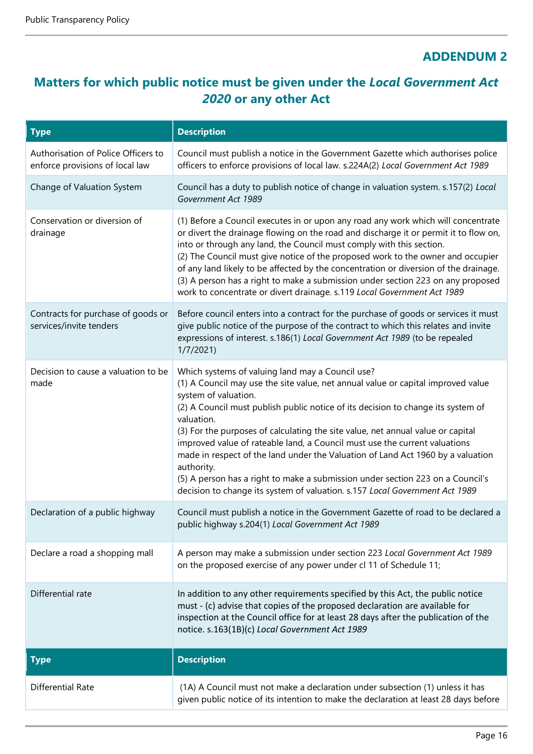# **ADDENDUM 2**

# **Matters for which public notice must be given under the** *Local Government Act 2020* **or any other Act**

| <b>Type</b>                                                            | <b>Description</b>                                                                                                                                                                                                                                                                                                                                                                                                                                                                                                                                                                                                                                                                                |
|------------------------------------------------------------------------|---------------------------------------------------------------------------------------------------------------------------------------------------------------------------------------------------------------------------------------------------------------------------------------------------------------------------------------------------------------------------------------------------------------------------------------------------------------------------------------------------------------------------------------------------------------------------------------------------------------------------------------------------------------------------------------------------|
| Authorisation of Police Officers to<br>enforce provisions of local law | Council must publish a notice in the Government Gazette which authorises police<br>officers to enforce provisions of local law. s.224A(2) Local Government Act 1989                                                                                                                                                                                                                                                                                                                                                                                                                                                                                                                               |
| Change of Valuation System                                             | Council has a duty to publish notice of change in valuation system. s.157(2) Local<br>Government Act 1989                                                                                                                                                                                                                                                                                                                                                                                                                                                                                                                                                                                         |
| Conservation or diversion of<br>drainage                               | (1) Before a Council executes in or upon any road any work which will concentrate<br>or divert the drainage flowing on the road and discharge it or permit it to flow on,<br>into or through any land, the Council must comply with this section.<br>(2) The Council must give notice of the proposed work to the owner and occupier<br>of any land likely to be affected by the concentration or diversion of the drainage.<br>(3) A person has a right to make a submission under section 223 on any proposed<br>work to concentrate or divert drainage. s.119 Local Government Act 1989                                                                                                        |
| Contracts for purchase of goods or<br>services/invite tenders          | Before council enters into a contract for the purchase of goods or services it must<br>give public notice of the purpose of the contract to which this relates and invite<br>expressions of interest. s.186(1) Local Government Act 1989 (to be repealed<br>1/7/2021                                                                                                                                                                                                                                                                                                                                                                                                                              |
| Decision to cause a valuation to be<br>made                            | Which systems of valuing land may a Council use?<br>(1) A Council may use the site value, net annual value or capital improved value<br>system of valuation.<br>(2) A Council must publish public notice of its decision to change its system of<br>valuation.<br>(3) For the purposes of calculating the site value, net annual value or capital<br>improved value of rateable land, a Council must use the current valuations<br>made in respect of the land under the Valuation of Land Act 1960 by a valuation<br>authority.<br>(5) A person has a right to make a submission under section 223 on a Council's<br>decision to change its system of valuation. s.157 Local Government Act 1989 |
| Declaration of a public highway                                        | Council must publish a notice in the Government Gazette of road to be declared a<br>public highway s.204(1) Local Government Act 1989                                                                                                                                                                                                                                                                                                                                                                                                                                                                                                                                                             |
| Declare a road a shopping mall                                         | A person may make a submission under section 223 Local Government Act 1989<br>on the proposed exercise of any power under cl 11 of Schedule 11;                                                                                                                                                                                                                                                                                                                                                                                                                                                                                                                                                   |
| Differential rate                                                      | In addition to any other requirements specified by this Act, the public notice<br>must - (c) advise that copies of the proposed declaration are available for<br>inspection at the Council office for at least 28 days after the publication of the<br>notice. s.163(1B)(c) Local Government Act 1989                                                                                                                                                                                                                                                                                                                                                                                             |
| <b>Type</b>                                                            | <b>Description</b>                                                                                                                                                                                                                                                                                                                                                                                                                                                                                                                                                                                                                                                                                |
| <b>Differential Rate</b>                                               | (1A) A Council must not make a declaration under subsection (1) unless it has<br>given public notice of its intention to make the declaration at least 28 days before                                                                                                                                                                                                                                                                                                                                                                                                                                                                                                                             |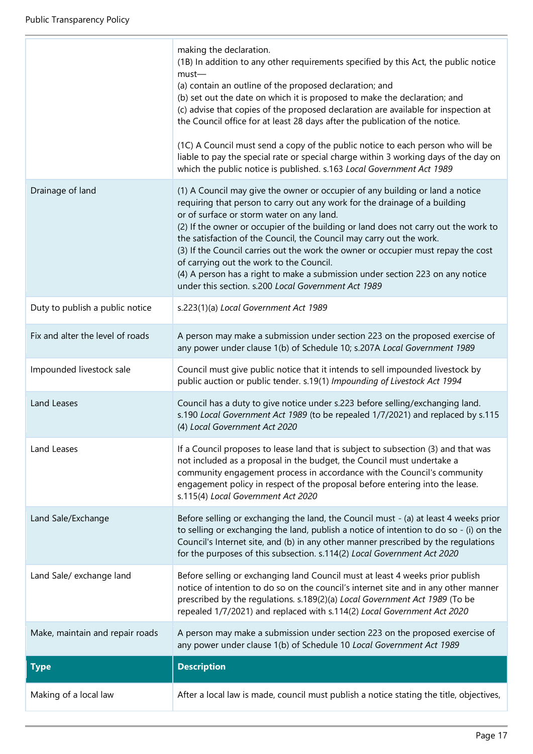|                                  | making the declaration.<br>(1B) In addition to any other requirements specified by this Act, the public notice<br>$must-$<br>(a) contain an outline of the proposed declaration; and<br>(b) set out the date on which it is proposed to make the declaration; and<br>(c) advise that copies of the proposed declaration are available for inspection at<br>the Council office for at least 28 days after the publication of the notice.<br>(1C) A Council must send a copy of the public notice to each person who will be<br>liable to pay the special rate or special charge within 3 working days of the day on<br>which the public notice is published. s.163 Local Government Act 1989 |
|----------------------------------|---------------------------------------------------------------------------------------------------------------------------------------------------------------------------------------------------------------------------------------------------------------------------------------------------------------------------------------------------------------------------------------------------------------------------------------------------------------------------------------------------------------------------------------------------------------------------------------------------------------------------------------------------------------------------------------------|
| Drainage of land                 | (1) A Council may give the owner or occupier of any building or land a notice<br>requiring that person to carry out any work for the drainage of a building<br>or of surface or storm water on any land.<br>(2) If the owner or occupier of the building or land does not carry out the work to<br>the satisfaction of the Council, the Council may carry out the work.<br>(3) If the Council carries out the work the owner or occupier must repay the cost<br>of carrying out the work to the Council.<br>(4) A person has a right to make a submission under section 223 on any notice<br>under this section. s.200 Local Government Act 1989                                            |
| Duty to publish a public notice  | s.223(1)(a) Local Government Act 1989                                                                                                                                                                                                                                                                                                                                                                                                                                                                                                                                                                                                                                                       |
| Fix and alter the level of roads | A person may make a submission under section 223 on the proposed exercise of<br>any power under clause 1(b) of Schedule 10; s.207A Local Government 1989                                                                                                                                                                                                                                                                                                                                                                                                                                                                                                                                    |
| Impounded livestock sale         | Council must give public notice that it intends to sell impounded livestock by<br>public auction or public tender. s.19(1) Impounding of Livestock Act 1994                                                                                                                                                                                                                                                                                                                                                                                                                                                                                                                                 |
| Land Leases                      | Council has a duty to give notice under s.223 before selling/exchanging land.<br>s.190 Local Government Act 1989 (to be repealed 1/7/2021) and replaced by s.115<br>(4) Local Government Act 2020                                                                                                                                                                                                                                                                                                                                                                                                                                                                                           |
| Land Leases                      | If a Council proposes to lease land that is subject to subsection (3) and that was<br>not included as a proposal in the budget, the Council must undertake a<br>community engagement process in accordance with the Council's community<br>engagement policy in respect of the proposal before entering into the lease.<br>s.115(4) Local Government Act 2020                                                                                                                                                                                                                                                                                                                               |
| Land Sale/Exchange               | Before selling or exchanging the land, the Council must - (a) at least 4 weeks prior<br>to selling or exchanging the land, publish a notice of intention to do so - (i) on the<br>Council's Internet site, and (b) in any other manner prescribed by the regulations<br>for the purposes of this subsection. s.114(2) Local Government Act 2020                                                                                                                                                                                                                                                                                                                                             |
| Land Sale/ exchange land         | Before selling or exchanging land Council must at least 4 weeks prior publish<br>notice of intention to do so on the council's internet site and in any other manner<br>prescribed by the regulations. s.189(2)(a) Local Government Act 1989 (To be<br>repealed 1/7/2021) and replaced with s.114(2) Local Government Act 2020                                                                                                                                                                                                                                                                                                                                                              |
| Make, maintain and repair roads  | A person may make a submission under section 223 on the proposed exercise of<br>any power under clause 1(b) of Schedule 10 Local Government Act 1989                                                                                                                                                                                                                                                                                                                                                                                                                                                                                                                                        |
| <b>Type</b>                      | <b>Description</b>                                                                                                                                                                                                                                                                                                                                                                                                                                                                                                                                                                                                                                                                          |
| Making of a local law            | After a local law is made, council must publish a notice stating the title, objectives,                                                                                                                                                                                                                                                                                                                                                                                                                                                                                                                                                                                                     |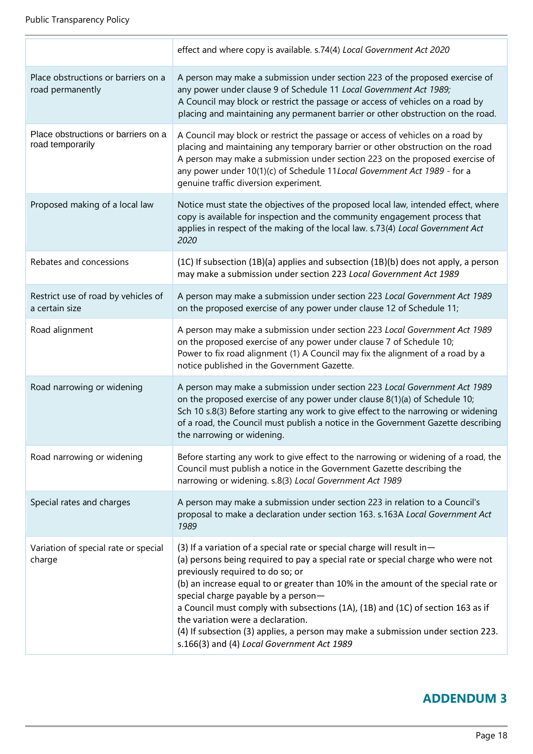|                                                         | effect and where copy is available. s.74(4) Local Government Act 2020                                                                                                                                                                                                                                                                                                                                                                                                                                                                                                               |
|---------------------------------------------------------|-------------------------------------------------------------------------------------------------------------------------------------------------------------------------------------------------------------------------------------------------------------------------------------------------------------------------------------------------------------------------------------------------------------------------------------------------------------------------------------------------------------------------------------------------------------------------------------|
| Place obstructions or barriers on a<br>road permanently | A person may make a submission under section 223 of the proposed exercise of<br>any power under clause 9 of Schedule 11 Local Government Act 1989;<br>A Council may block or restrict the passage or access of vehicles on a road by<br>placing and maintaining any permanent barrier or other obstruction on the road.                                                                                                                                                                                                                                                             |
| Place obstructions or barriers on a<br>road temporarily | A Council may block or restrict the passage or access of vehicles on a road by<br>placing and maintaining any temporary barrier or other obstruction on the road<br>A person may make a submission under section 223 on the proposed exercise of<br>any power under 10(1)(c) of Schedule 11Local Government Act 1989 - for a<br>genuine traffic diversion experiment.                                                                                                                                                                                                               |
| Proposed making of a local law                          | Notice must state the objectives of the proposed local law, intended effect, where<br>copy is available for inspection and the community engagement process that<br>applies in respect of the making of the local law. s.73(4) Local Government Act<br>2020                                                                                                                                                                                                                                                                                                                         |
| Rebates and concessions                                 | (1C) If subsection (1B)(a) applies and subsection (1B)(b) does not apply, a person<br>may make a submission under section 223 Local Government Act 1989                                                                                                                                                                                                                                                                                                                                                                                                                             |
| Restrict use of road by vehicles of<br>a certain size   | A person may make a submission under section 223 Local Government Act 1989<br>on the proposed exercise of any power under clause 12 of Schedule 11;                                                                                                                                                                                                                                                                                                                                                                                                                                 |
| Road alignment                                          | A person may make a submission under section 223 Local Government Act 1989<br>on the proposed exercise of any power under clause 7 of Schedule 10;<br>Power to fix road alignment (1) A Council may fix the alignment of a road by a<br>notice published in the Government Gazette.                                                                                                                                                                                                                                                                                                 |
| Road narrowing or widening                              | A person may make a submission under section 223 Local Government Act 1989<br>on the proposed exercise of any power under clause 8(1)(a) of Schedule 10;<br>Sch 10 s.8(3) Before starting any work to give effect to the narrowing or widening<br>of a road, the Council must publish a notice in the Government Gazette describing<br>the narrowing or widening.                                                                                                                                                                                                                   |
| Road narrowing or widening                              | Before starting any work to give effect to the narrowing or widening of a road, the<br>Council must publish a notice in the Government Gazette describing the<br>narrowing or widening. s.8(3) Local Government Act 1989                                                                                                                                                                                                                                                                                                                                                            |
| Special rates and charges                               | A person may make a submission under section 223 in relation to a Council's<br>proposal to make a declaration under section 163. s.163A Local Government Act<br>1989                                                                                                                                                                                                                                                                                                                                                                                                                |
| Variation of special rate or special<br>charge          | (3) If a variation of a special rate or special charge will result in-<br>(a) persons being required to pay a special rate or special charge who were not<br>previously required to do so; or<br>(b) an increase equal to or greater than 10% in the amount of the special rate or<br>special charge payable by a person-<br>a Council must comply with subsections (1A), (1B) and (1C) of section 163 as if<br>the variation were a declaration.<br>(4) If subsection (3) applies, a person may make a submission under section 223.<br>s.166(3) and (4) Local Government Act 1989 |

# **ADDENDUM 3**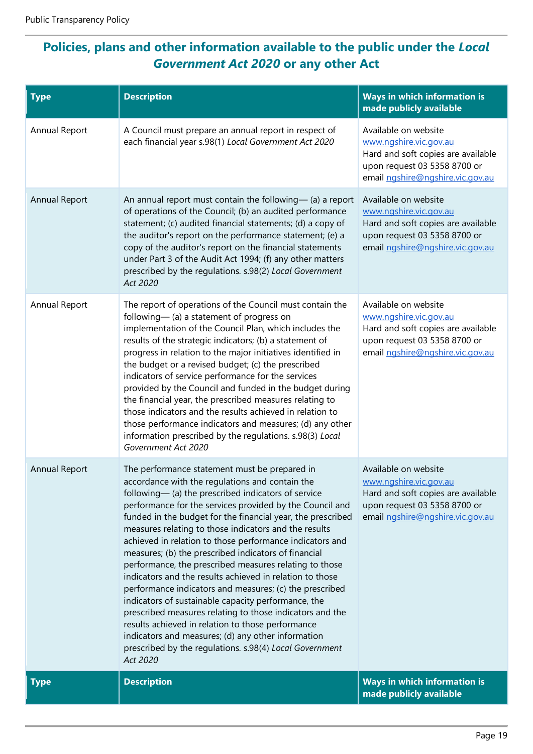# **Policies, plans and other information available to the public under the** *Local Government Act 2020* **or any other Act**

| <b>Type</b>          | <b>Description</b>                                                                                                                                                                                                                                                                                                                                                                                                                                                                                                                                                                                                                                                                                                                                                                                                                                                                                                                                    | Ways in which information is<br>made publicly available                                                                                                  |
|----------------------|-------------------------------------------------------------------------------------------------------------------------------------------------------------------------------------------------------------------------------------------------------------------------------------------------------------------------------------------------------------------------------------------------------------------------------------------------------------------------------------------------------------------------------------------------------------------------------------------------------------------------------------------------------------------------------------------------------------------------------------------------------------------------------------------------------------------------------------------------------------------------------------------------------------------------------------------------------|----------------------------------------------------------------------------------------------------------------------------------------------------------|
| Annual Report        | A Council must prepare an annual report in respect of<br>each financial year s.98(1) Local Government Act 2020                                                                                                                                                                                                                                                                                                                                                                                                                                                                                                                                                                                                                                                                                                                                                                                                                                        | Available on website<br>www.ngshire.vic.gov.au<br>Hard and soft copies are available<br>upon request 03 5358 8700 or<br>email ngshire@ngshire.vic.gov.au |
| Annual Report        | An annual report must contain the following- $(a)$ a report<br>of operations of the Council; (b) an audited performance<br>statement; (c) audited financial statements; (d) a copy of<br>the auditor's report on the performance statement; (e) a<br>copy of the auditor's report on the financial statements<br>under Part 3 of the Audit Act 1994; (f) any other matters<br>prescribed by the regulations. s.98(2) Local Government<br>Act 2020                                                                                                                                                                                                                                                                                                                                                                                                                                                                                                     | Available on website<br>www.ngshire.vic.gov.au<br>Hard and soft copies are available<br>upon request 03 5358 8700 or<br>email ngshire@ngshire.vic.gov.au |
| Annual Report        | The report of operations of the Council must contain the<br>following- (a) a statement of progress on<br>implementation of the Council Plan, which includes the<br>results of the strategic indicators; (b) a statement of<br>progress in relation to the major initiatives identified in<br>the budget or a revised budget; (c) the prescribed<br>indicators of service performance for the services<br>provided by the Council and funded in the budget during<br>the financial year, the prescribed measures relating to<br>those indicators and the results achieved in relation to<br>those performance indicators and measures; (d) any other<br>information prescribed by the regulations. s.98(3) Local<br>Government Act 2020                                                                                                                                                                                                                | Available on website<br>www.ngshire.vic.gov.au<br>Hard and soft copies are available<br>upon request 03 5358 8700 or<br>email ngshire@ngshire.vic.gov.au |
| <b>Annual Report</b> | The performance statement must be prepared in<br>accordance with the regulations and contain the<br>following- (a) the prescribed indicators of service<br>performance for the services provided by the Council and<br>funded in the budget for the financial year, the prescribed<br>measures relating to those indicators and the results<br>achieved in relation to those performance indicators and<br>measures; (b) the prescribed indicators of financial<br>performance, the prescribed measures relating to those<br>indicators and the results achieved in relation to those<br>performance indicators and measures; (c) the prescribed<br>indicators of sustainable capacity performance, the<br>prescribed measures relating to those indicators and the<br>results achieved in relation to those performance<br>indicators and measures; (d) any other information<br>prescribed by the regulations. s.98(4) Local Government<br>Act 2020 | Available on website<br>www.ngshire.vic.gov.au<br>Hard and soft copies are available<br>upon request 03 5358 8700 or<br>email ngshire@ngshire.vic.gov.au |
| <b>Type</b>          | <b>Description</b>                                                                                                                                                                                                                                                                                                                                                                                                                                                                                                                                                                                                                                                                                                                                                                                                                                                                                                                                    | Ways in which information is<br>made publicly available                                                                                                  |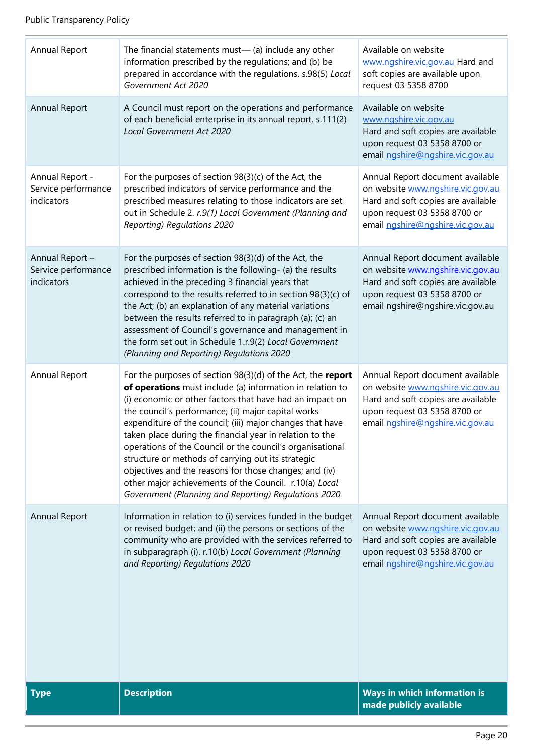| Annual Report                                        | The financial statements must- $(a)$ include any other<br>information prescribed by the regulations; and (b) be<br>prepared in accordance with the regulations. s.98(5) Local<br>Government Act 2020                                                                                                                                                                                                                                                                                                                                                                                                                                                                  | Available on website<br>www.ngshire.vic.gov.au Hard and<br>soft copies are available upon<br>request 03 5358 8700                                                               |
|------------------------------------------------------|-----------------------------------------------------------------------------------------------------------------------------------------------------------------------------------------------------------------------------------------------------------------------------------------------------------------------------------------------------------------------------------------------------------------------------------------------------------------------------------------------------------------------------------------------------------------------------------------------------------------------------------------------------------------------|---------------------------------------------------------------------------------------------------------------------------------------------------------------------------------|
| Annual Report                                        | A Council must report on the operations and performance<br>of each beneficial enterprise in its annual report. s.111(2)<br>Local Government Act 2020                                                                                                                                                                                                                                                                                                                                                                                                                                                                                                                  | Available on website<br>www.ngshire.vic.gov.au<br>Hard and soft copies are available<br>upon request 03 5358 8700 or<br>email ngshire@ngshire.vic.gov.au                        |
| Annual Report -<br>Service performance<br>indicators | For the purposes of section 98(3)(c) of the Act, the<br>prescribed indicators of service performance and the<br>prescribed measures relating to those indicators are set<br>out in Schedule 2. r.9(1) Local Government (Planning and<br>Reporting) Regulations 2020                                                                                                                                                                                                                                                                                                                                                                                                   | Annual Report document available<br>on website www.ngshire.vic.gov.au<br>Hard and soft copies are available<br>upon request 03 5358 8700 or<br>email ngshire@ngshire.vic.gov.au |
| Annual Report -<br>Service performance<br>indicators | For the purposes of section 98(3)(d) of the Act, the<br>prescribed information is the following- (a) the results<br>achieved in the preceding 3 financial years that<br>correspond to the results referred to in section 98(3)(c) of<br>the Act; (b) an explanation of any material variations<br>between the results referred to in paragraph (a); (c) an<br>assessment of Council's governance and management in<br>the form set out in Schedule 1.r.9(2) Local Government<br>(Planning and Reporting) Regulations 2020                                                                                                                                             | Annual Report document available<br>on website www.ngshire.vic.gov.au<br>Hard and soft copies are available<br>upon request 03 5358 8700 or<br>email ngshire@ngshire.vic.gov.au |
| Annual Report                                        | For the purposes of section $98(3)(d)$ of the Act, the report<br>of operations must include (a) information in relation to<br>(i) economic or other factors that have had an impact on<br>the council's performance; (ii) major capital works<br>expenditure of the council; (iii) major changes that have<br>taken place during the financial year in relation to the<br>operations of the Council or the council's organisational<br>structure or methods of carrying out its strategic<br>objectives and the reasons for those changes; and (iv)<br>other major achievements of the Council. r.10(a) Local<br>Government (Planning and Reporting) Regulations 2020 | Annual Report document available<br>on website www.ngshire.vic.gov.au<br>Hard and soft copies are available<br>upon request 03 5358 8700 or<br>email ngshire@ngshire.vic.gov.au |
| <b>Annual Report</b>                                 | Information in relation to (i) services funded in the budget<br>or revised budget; and (ii) the persons or sections of the<br>community who are provided with the services referred to<br>in subparagraph (i). r.10(b) Local Government (Planning<br>and Reporting) Regulations 2020                                                                                                                                                                                                                                                                                                                                                                                  | Annual Report document available<br>on website www.ngshire.vic.gov.au<br>Hard and soft copies are available<br>upon request 03 5358 8700 or<br>email ngshire@ngshire.vic.gov.au |
| <b>Type</b>                                          | <b>Description</b>                                                                                                                                                                                                                                                                                                                                                                                                                                                                                                                                                                                                                                                    | Ways in which information is<br>made publicly available                                                                                                                         |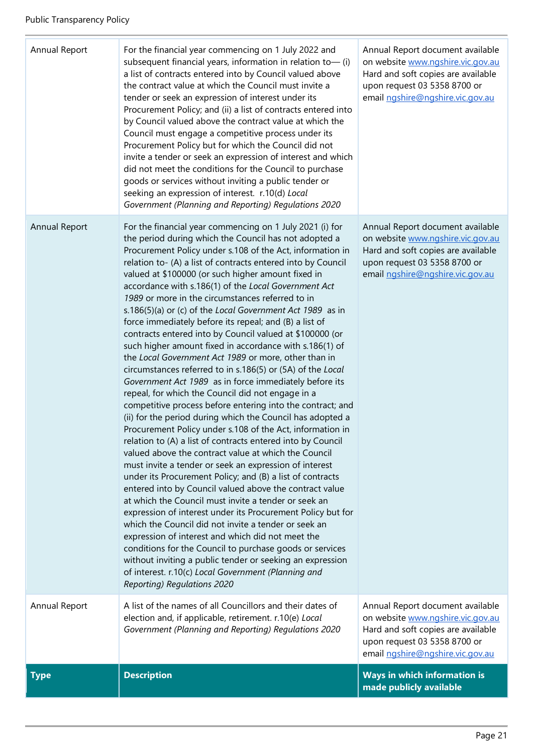| Annual Report | For the financial year commencing on 1 July 2022 and<br>subsequent financial years, information in relation to- (i)<br>a list of contracts entered into by Council valued above<br>the contract value at which the Council must invite a<br>tender or seek an expression of interest under its<br>Procurement Policy; and (ii) a list of contracts entered into<br>by Council valued above the contract value at which the<br>Council must engage a competitive process under its<br>Procurement Policy but for which the Council did not<br>invite a tender or seek an expression of interest and which<br>did not meet the conditions for the Council to purchase<br>goods or services without inviting a public tender or<br>seeking an expression of interest. r.10(d) Local<br>Government (Planning and Reporting) Regulations 2020                                                                                                                                                                                                                                                                                                                                                                                                                                                                                                                                                                                                                                                                                                                                                                                                                                                                                                                                                                                                                 | Annual Report document available<br>on website www.ngshire.vic.gov.au<br>Hard and soft copies are available<br>upon request 03 5358 8700 or<br>email ngshire@ngshire.vic.gov.au |
|---------------|----------------------------------------------------------------------------------------------------------------------------------------------------------------------------------------------------------------------------------------------------------------------------------------------------------------------------------------------------------------------------------------------------------------------------------------------------------------------------------------------------------------------------------------------------------------------------------------------------------------------------------------------------------------------------------------------------------------------------------------------------------------------------------------------------------------------------------------------------------------------------------------------------------------------------------------------------------------------------------------------------------------------------------------------------------------------------------------------------------------------------------------------------------------------------------------------------------------------------------------------------------------------------------------------------------------------------------------------------------------------------------------------------------------------------------------------------------------------------------------------------------------------------------------------------------------------------------------------------------------------------------------------------------------------------------------------------------------------------------------------------------------------------------------------------------------------------------------------------------|---------------------------------------------------------------------------------------------------------------------------------------------------------------------------------|
| Annual Report | For the financial year commencing on 1 July 2021 (i) for<br>the period during which the Council has not adopted a<br>Procurement Policy under s.108 of the Act, information in<br>relation to- (A) a list of contracts entered into by Council<br>valued at \$100000 (or such higher amount fixed in<br>accordance with s.186(1) of the Local Government Act<br>1989 or more in the circumstances referred to in<br>s.186(5)(a) or (c) of the Local Government Act 1989 as in<br>force immediately before its repeal; and (B) a list of<br>contracts entered into by Council valued at \$100000 (or<br>such higher amount fixed in accordance with s.186(1) of<br>the Local Government Act 1989 or more, other than in<br>circumstances referred to in s.186(5) or (5A) of the Local<br>Government Act 1989 as in force immediately before its<br>repeal, for which the Council did not engage in a<br>competitive process before entering into the contract; and<br>(ii) for the period during which the Council has adopted a<br>Procurement Policy under s.108 of the Act, information in<br>relation to (A) a list of contracts entered into by Council<br>valued above the contract value at which the Council<br>must invite a tender or seek an expression of interest<br>under its Procurement Policy; and (B) a list of contracts<br>entered into by Council valued above the contract value<br>at which the Council must invite a tender or seek an<br>expression of interest under its Procurement Policy but for<br>which the Council did not invite a tender or seek an<br>expression of interest and which did not meet the<br>conditions for the Council to purchase goods or services<br>without inviting a public tender or seeking an expression<br>of interest. r.10(c) Local Government (Planning and<br>Reporting) Regulations 2020 | Annual Report document available<br>on website www.ngshire.vic.gov.au<br>Hard and soft copies are available<br>upon request 03 5358 8700 or<br>email ngshire@ngshire.vic.gov.au |
| Annual Report | A list of the names of all Councillors and their dates of<br>election and, if applicable, retirement. r.10(e) Local<br>Government (Planning and Reporting) Regulations 2020                                                                                                                                                                                                                                                                                                                                                                                                                                                                                                                                                                                                                                                                                                                                                                                                                                                                                                                                                                                                                                                                                                                                                                                                                                                                                                                                                                                                                                                                                                                                                                                                                                                                              | Annual Report document available<br>on website www.ngshire.vic.gov.au<br>Hard and soft copies are available<br>upon request 03 5358 8700 or<br>email ngshire@ngshire.vic.gov.au |
| <b>Type</b>   | <b>Description</b>                                                                                                                                                                                                                                                                                                                                                                                                                                                                                                                                                                                                                                                                                                                                                                                                                                                                                                                                                                                                                                                                                                                                                                                                                                                                                                                                                                                                                                                                                                                                                                                                                                                                                                                                                                                                                                       | Ways in which information is<br>made publicly available                                                                                                                         |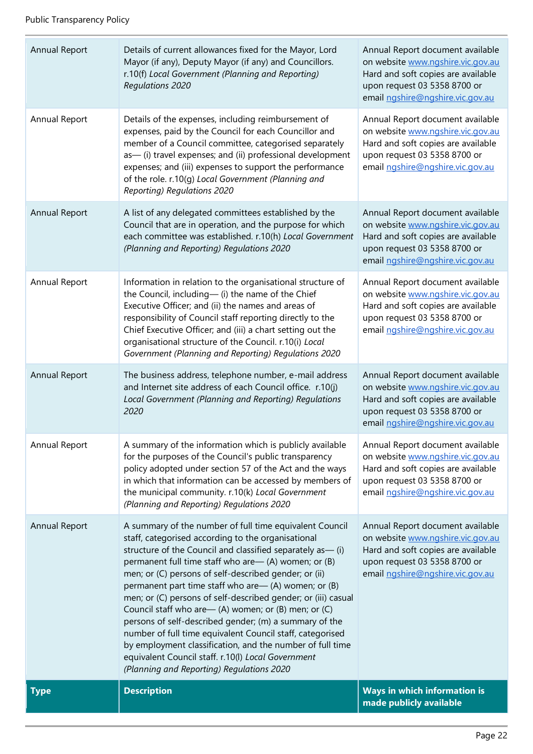| Annual Report | Details of current allowances fixed for the Mayor, Lord<br>Mayor (if any), Deputy Mayor (if any) and Councillors.<br>r.10(f) Local Government (Planning and Reporting)<br><b>Regulations 2020</b>                                                                                                                                                                                                                                                                                                                                                                                                                                                                                                                                                                       | Annual Report document available<br>on website www.ngshire.vic.gov.au<br>Hard and soft copies are available<br>upon request 03 5358 8700 or<br>email ngshire@ngshire.vic.gov.au |
|---------------|-------------------------------------------------------------------------------------------------------------------------------------------------------------------------------------------------------------------------------------------------------------------------------------------------------------------------------------------------------------------------------------------------------------------------------------------------------------------------------------------------------------------------------------------------------------------------------------------------------------------------------------------------------------------------------------------------------------------------------------------------------------------------|---------------------------------------------------------------------------------------------------------------------------------------------------------------------------------|
| Annual Report | Details of the expenses, including reimbursement of<br>expenses, paid by the Council for each Councillor and<br>member of a Council committee, categorised separately<br>as-(i) travel expenses; and (ii) professional development<br>expenses; and (iii) expenses to support the performance<br>of the role. r.10(g) Local Government (Planning and<br>Reporting) Regulations 2020                                                                                                                                                                                                                                                                                                                                                                                     | Annual Report document available<br>on website www.ngshire.vic.gov.au<br>Hard and soft copies are available<br>upon request 03 5358 8700 or<br>email ngshire@ngshire.vic.gov.au |
| Annual Report | A list of any delegated committees established by the<br>Council that are in operation, and the purpose for which<br>each committee was established. r.10(h) Local Government<br>(Planning and Reporting) Regulations 2020                                                                                                                                                                                                                                                                                                                                                                                                                                                                                                                                              | Annual Report document available<br>on website www.ngshire.vic.gov.au<br>Hard and soft copies are available<br>upon request 03 5358 8700 or<br>email ngshire@ngshire.vic.gov.au |
| Annual Report | Information in relation to the organisational structure of<br>the Council, including-(i) the name of the Chief<br>Executive Officer; and (ii) the names and areas of<br>responsibility of Council staff reporting directly to the<br>Chief Executive Officer; and (iii) a chart setting out the<br>organisational structure of the Council. r.10(i) Local<br>Government (Planning and Reporting) Regulations 2020                                                                                                                                                                                                                                                                                                                                                       | Annual Report document available<br>on website www.ngshire.vic.gov.au<br>Hard and soft copies are available<br>upon request 03 5358 8700 or<br>email ngshire@ngshire.vic.gov.au |
| Annual Report | The business address, telephone number, e-mail address<br>and Internet site address of each Council office. r.10(j)<br>Local Government (Planning and Reporting) Regulations<br>2020                                                                                                                                                                                                                                                                                                                                                                                                                                                                                                                                                                                    | Annual Report document available<br>on website www.ngshire.vic.gov.au<br>Hard and soft copies are available<br>upon request 03 5358 8700 or<br>email ngshire@ngshire.vic.gov.au |
| Annual Report | A summary of the information which is publicly available<br>for the purposes of the Council's public transparency<br>policy adopted under section 57 of the Act and the ways<br>in which that information can be accessed by members of<br>the municipal community. r.10(k) Local Government<br>(Planning and Reporting) Regulations 2020                                                                                                                                                                                                                                                                                                                                                                                                                               | Annual Report document available<br>on website www.ngshire.vic.gov.au<br>Hard and soft copies are available<br>upon request 03 5358 8700 or<br>email ngshire@ngshire.vic.gov.au |
| Annual Report | A summary of the number of full time equivalent Council<br>staff, categorised according to the organisational<br>structure of the Council and classified separately as -- (i)<br>permanent full time staff who are— (A) women; or (B)<br>men; or (C) persons of self-described gender; or (ii)<br>permanent part time staff who are— (A) women; or (B)<br>men; or (C) persons of self-described gender; or (iii) casual<br>Council staff who are - (A) women; or (B) men; or (C)<br>persons of self-described gender; (m) a summary of the<br>number of full time equivalent Council staff, categorised<br>by employment classification, and the number of full time<br>equivalent Council staff. r.10(I) Local Government<br>(Planning and Reporting) Regulations 2020 | Annual Report document available<br>on website www.ngshire.vic.gov.au<br>Hard and soft copies are available<br>upon request 03 5358 8700 or<br>email ngshire@ngshire.vic.gov.au |
| <b>Type</b>   | <b>Description</b>                                                                                                                                                                                                                                                                                                                                                                                                                                                                                                                                                                                                                                                                                                                                                      | <b>Ways in which information is</b><br>made publicly available                                                                                                                  |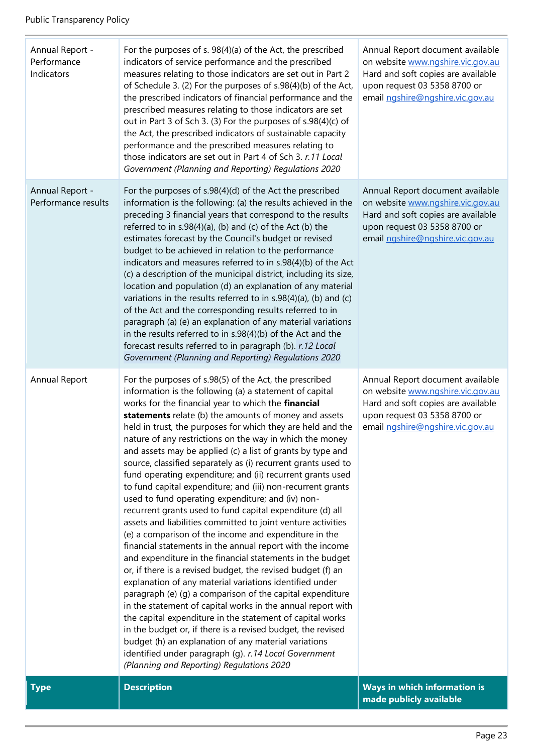| Annual Report -<br>Performance<br>Indicators | For the purposes of s. 98(4)(a) of the Act, the prescribed<br>indicators of service performance and the prescribed<br>measures relating to those indicators are set out in Part 2<br>of Schedule 3. (2) For the purposes of s.98(4)(b) of the Act,<br>the prescribed indicators of financial performance and the<br>prescribed measures relating to those indicators are set<br>out in Part 3 of Sch 3. (3) For the purposes of s.98(4)(c) of<br>the Act, the prescribed indicators of sustainable capacity<br>performance and the prescribed measures relating to<br>those indicators are set out in Part 4 of Sch 3. r.11 Local<br>Government (Planning and Reporting) Regulations 2020                                                                                                                                                                                                                                                                                                                                                                                                                                                                                                                                                                                                                                                                                                                                                                                                                                                     | Annual Report document available<br>on website www.ngshire.vic.gov.au<br>Hard and soft copies are available<br>upon request 03 5358 8700 or<br>email ngshire@ngshire.vic.gov.au |
|----------------------------------------------|-----------------------------------------------------------------------------------------------------------------------------------------------------------------------------------------------------------------------------------------------------------------------------------------------------------------------------------------------------------------------------------------------------------------------------------------------------------------------------------------------------------------------------------------------------------------------------------------------------------------------------------------------------------------------------------------------------------------------------------------------------------------------------------------------------------------------------------------------------------------------------------------------------------------------------------------------------------------------------------------------------------------------------------------------------------------------------------------------------------------------------------------------------------------------------------------------------------------------------------------------------------------------------------------------------------------------------------------------------------------------------------------------------------------------------------------------------------------------------------------------------------------------------------------------|---------------------------------------------------------------------------------------------------------------------------------------------------------------------------------|
| Annual Report -<br>Performance results       | For the purposes of s.98(4)(d) of the Act the prescribed<br>information is the following: (a) the results achieved in the<br>preceding 3 financial years that correspond to the results<br>referred to in s.98(4)(a), (b) and (c) of the Act (b) the<br>estimates forecast by the Council's budget or revised<br>budget to be achieved in relation to the performance<br>indicators and measures referred to in s.98(4)(b) of the Act<br>(c) a description of the municipal district, including its size,<br>location and population (d) an explanation of any material<br>variations in the results referred to in s.98(4)(a), (b) and (c)<br>of the Act and the corresponding results referred to in<br>paragraph (a) (e) an explanation of any material variations<br>in the results referred to in s.98(4)(b) of the Act and the<br>forecast results referred to in paragraph (b). r.12 Local<br>Government (Planning and Reporting) Regulations 2020                                                                                                                                                                                                                                                                                                                                                                                                                                                                                                                                                                                     | Annual Report document available<br>on website www.ngshire.vic.gov.au<br>Hard and soft copies are available<br>upon request 03 5358 8700 or<br>email ngshire@ngshire.vic.gov.au |
| Annual Report                                | For the purposes of s.98(5) of the Act, the prescribed<br>information is the following (a) a statement of capital<br>works for the financial year to which the financial<br>statements relate (b) the amounts of money and assets<br>held in trust, the purposes for which they are held and the<br>nature of any restrictions on the way in which the money<br>and assets may be applied (c) a list of grants by type and<br>source, classified separately as (i) recurrent grants used to<br>fund operating expenditure; and (ii) recurrent grants used<br>to fund capital expenditure; and (iii) non-recurrent grants<br>used to fund operating expenditure; and (iv) non-<br>recurrent grants used to fund capital expenditure (d) all<br>assets and liabilities committed to joint venture activities<br>(e) a comparison of the income and expenditure in the<br>financial statements in the annual report with the income<br>and expenditure in the financial statements in the budget<br>or, if there is a revised budget, the revised budget (f) an<br>explanation of any material variations identified under<br>paragraph (e) (g) a comparison of the capital expenditure<br>in the statement of capital works in the annual report with<br>the capital expenditure in the statement of capital works<br>in the budget or, if there is a revised budget, the revised<br>budget (h) an explanation of any material variations<br>identified under paragraph (g). r.14 Local Government<br>(Planning and Reporting) Regulations 2020 | Annual Report document available<br>on website www.ngshire.vic.gov.au<br>Hard and soft copies are available<br>upon request 03 5358 8700 or<br>email ngshire@ngshire.vic.gov.au |
| <b>Type</b>                                  | <b>Description</b>                                                                                                                                                                                                                                                                                                                                                                                                                                                                                                                                                                                                                                                                                                                                                                                                                                                                                                                                                                                                                                                                                                                                                                                                                                                                                                                                                                                                                                                                                                                            | Ways in which information is<br>made publicly available                                                                                                                         |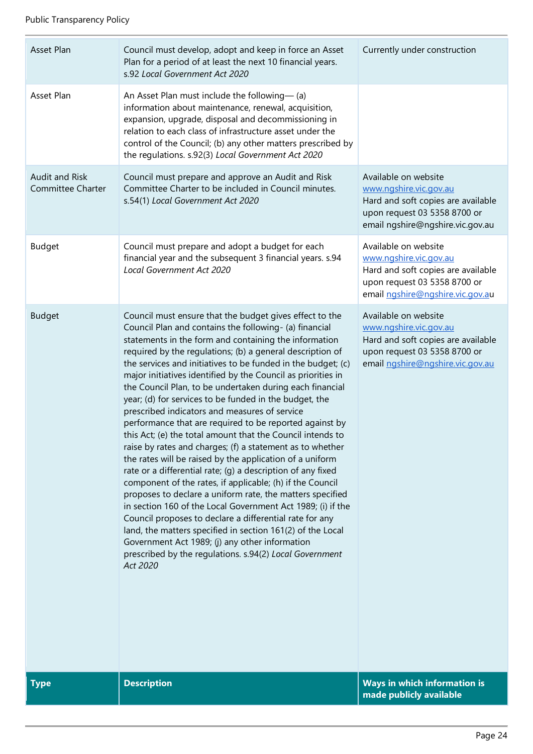| Asset Plan                                 | Council must develop, adopt and keep in force an Asset<br>Plan for a period of at least the next 10 financial years.<br>s.92 Local Government Act 2020                                                                                                                                                                                                                                                                                                                                                                                                                                                                                                                                                                                                                                                                                                                                                                                                                                                                                                                                                                                                                                                                                                                                                     | Currently under construction                                                                                                                             |
|--------------------------------------------|------------------------------------------------------------------------------------------------------------------------------------------------------------------------------------------------------------------------------------------------------------------------------------------------------------------------------------------------------------------------------------------------------------------------------------------------------------------------------------------------------------------------------------------------------------------------------------------------------------------------------------------------------------------------------------------------------------------------------------------------------------------------------------------------------------------------------------------------------------------------------------------------------------------------------------------------------------------------------------------------------------------------------------------------------------------------------------------------------------------------------------------------------------------------------------------------------------------------------------------------------------------------------------------------------------|----------------------------------------------------------------------------------------------------------------------------------------------------------|
| Asset Plan                                 | An Asset Plan must include the following-(a)<br>information about maintenance, renewal, acquisition,<br>expansion, upgrade, disposal and decommissioning in<br>relation to each class of infrastructure asset under the<br>control of the Council; (b) any other matters prescribed by<br>the regulations. s.92(3) Local Government Act 2020                                                                                                                                                                                                                                                                                                                                                                                                                                                                                                                                                                                                                                                                                                                                                                                                                                                                                                                                                               |                                                                                                                                                          |
| Audit and Risk<br><b>Committee Charter</b> | Council must prepare and approve an Audit and Risk<br>Committee Charter to be included in Council minutes.<br>s.54(1) Local Government Act 2020                                                                                                                                                                                                                                                                                                                                                                                                                                                                                                                                                                                                                                                                                                                                                                                                                                                                                                                                                                                                                                                                                                                                                            | Available on website<br>www.ngshire.vic.gov.au<br>Hard and soft copies are available<br>upon request 03 5358 8700 or<br>email ngshire@ngshire.vic.gov.au |
| <b>Budget</b>                              | Council must prepare and adopt a budget for each<br>financial year and the subsequent 3 financial years. s.94<br>Local Government Act 2020                                                                                                                                                                                                                                                                                                                                                                                                                                                                                                                                                                                                                                                                                                                                                                                                                                                                                                                                                                                                                                                                                                                                                                 | Available on website<br>www.ngshire.vic.gov.au<br>Hard and soft copies are available<br>upon request 03 5358 8700 or<br>email ngshire@ngshire.vic.gov.au |
| <b>Budget</b>                              | Council must ensure that the budget gives effect to the<br>Council Plan and contains the following- (a) financial<br>statements in the form and containing the information<br>required by the regulations; (b) a general description of<br>the services and initiatives to be funded in the budget; (c)<br>major initiatives identified by the Council as priorities in<br>the Council Plan, to be undertaken during each financial<br>year; (d) for services to be funded in the budget, the<br>prescribed indicators and measures of service<br>performance that are required to be reported against by<br>this Act; (e) the total amount that the Council intends to<br>raise by rates and charges; (f) a statement as to whether<br>the rates will be raised by the application of a uniform<br>rate or a differential rate; (g) a description of any fixed<br>component of the rates, if applicable; (h) if the Council<br>proposes to declare a uniform rate, the matters specified<br>in section 160 of the Local Government Act 1989; (i) if the<br>Council proposes to declare a differential rate for any<br>land, the matters specified in section 161(2) of the Local<br>Government Act 1989; (j) any other information<br>prescribed by the regulations. s.94(2) Local Government<br>Act 2020 | Available on website<br>www.ngshire.vic.gov.au<br>Hard and soft copies are available<br>upon request 03 5358 8700 or<br>email ngshire@ngshire.vic.gov.au |
| <b>Type</b>                                | <b>Description</b>                                                                                                                                                                                                                                                                                                                                                                                                                                                                                                                                                                                                                                                                                                                                                                                                                                                                                                                                                                                                                                                                                                                                                                                                                                                                                         | Ways in which information is<br>made publicly available                                                                                                  |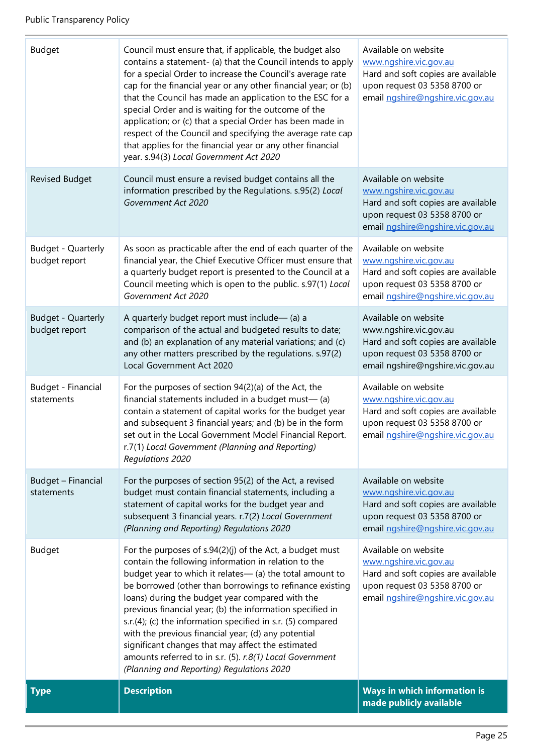| <b>Type</b>                         | <b>Description</b>                                                                                                                                                                                                                                                                                                                                                                                                                                                                                                                                                                                                                             | Ways in which information is<br>made publicly available                                                                                                  |
|-------------------------------------|------------------------------------------------------------------------------------------------------------------------------------------------------------------------------------------------------------------------------------------------------------------------------------------------------------------------------------------------------------------------------------------------------------------------------------------------------------------------------------------------------------------------------------------------------------------------------------------------------------------------------------------------|----------------------------------------------------------------------------------------------------------------------------------------------------------|
| <b>Budget</b>                       | For the purposes of $s.94(2)(j)$ of the Act, a budget must<br>contain the following information in relation to the<br>budget year to which it relates- (a) the total amount to<br>be borrowed (other than borrowings to refinance existing<br>loans) during the budget year compared with the<br>previous financial year; (b) the information specified in<br>s.r.(4); (c) the information specified in s.r. (5) compared<br>with the previous financial year; (d) any potential<br>significant changes that may affect the estimated<br>amounts referred to in s.r. (5). r.8(1) Local Government<br>(Planning and Reporting) Regulations 2020 | Available on website<br>www.ngshire.vic.gov.au<br>Hard and soft copies are available<br>upon request 03 5358 8700 or<br>email ngshire@ngshire.vic.gov.au |
| Budget - Financial<br>statements    | For the purposes of section 95(2) of the Act, a revised<br>budget must contain financial statements, including a<br>statement of capital works for the budget year and<br>subsequent 3 financial years. r.7(2) Local Government<br>(Planning and Reporting) Regulations 2020                                                                                                                                                                                                                                                                                                                                                                   | Available on website<br>www.ngshire.vic.gov.au<br>Hard and soft copies are available<br>upon request 03 5358 8700 or<br>email ngshire@ngshire.vic.gov.au |
| Budget - Financial<br>statements    | For the purposes of section 94(2)(a) of the Act, the<br>financial statements included in a budget must-(a)<br>contain a statement of capital works for the budget year<br>and subsequent 3 financial years; and (b) be in the form<br>set out in the Local Government Model Financial Report.<br>r.7(1) Local Government (Planning and Reporting)<br>Regulations 2020                                                                                                                                                                                                                                                                          | Available on website<br>www.ngshire.vic.gov.au<br>Hard and soft copies are available<br>upon request 03 5358 8700 or<br>email ngshire@ngshire.vic.gov.au |
| Budget - Quarterly<br>budget report | A quarterly budget report must include- (a) a<br>comparison of the actual and budgeted results to date;<br>and (b) an explanation of any material variations; and (c)<br>any other matters prescribed by the regulations. s.97(2)<br>Local Government Act 2020                                                                                                                                                                                                                                                                                                                                                                                 | Available on website<br>www.ngshire.vic.gov.au<br>Hard and soft copies are available<br>upon request 03 5358 8700 or<br>email ngshire@ngshire.vic.gov.au |
| Budget - Quarterly<br>budget report | As soon as practicable after the end of each quarter of the<br>financial year, the Chief Executive Officer must ensure that<br>a quarterly budget report is presented to the Council at a<br>Council meeting which is open to the public. s.97(1) Local<br>Government Act 2020                                                                                                                                                                                                                                                                                                                                                                 | Available on website<br>www.ngshire.vic.gov.au<br>Hard and soft copies are available<br>upon request 03 5358 8700 or<br>email ngshire@ngshire.vic.gov.au |
| Revised Budget                      | Council must ensure a revised budget contains all the<br>information prescribed by the Regulations. s.95(2) Local<br>Government Act 2020                                                                                                                                                                                                                                                                                                                                                                                                                                                                                                       | Available on website<br>www.ngshire.vic.gov.au<br>Hard and soft copies are available<br>upon request 03 5358 8700 or<br>email ngshire@ngshire.vic.gov.au |
| <b>Budget</b>                       | Council must ensure that, if applicable, the budget also<br>contains a statement- (a) that the Council intends to apply<br>for a special Order to increase the Council's average rate<br>cap for the financial year or any other financial year; or (b)<br>that the Council has made an application to the ESC for a<br>special Order and is waiting for the outcome of the<br>application; or (c) that a special Order has been made in<br>respect of the Council and specifying the average rate cap<br>that applies for the financial year or any other financial<br>year. s.94(3) Local Government Act 2020                                | Available on website<br>www.ngshire.vic.gov.au<br>Hard and soft copies are available<br>upon request 03 5358 8700 or<br>email ngshire@ngshire.vic.gov.au |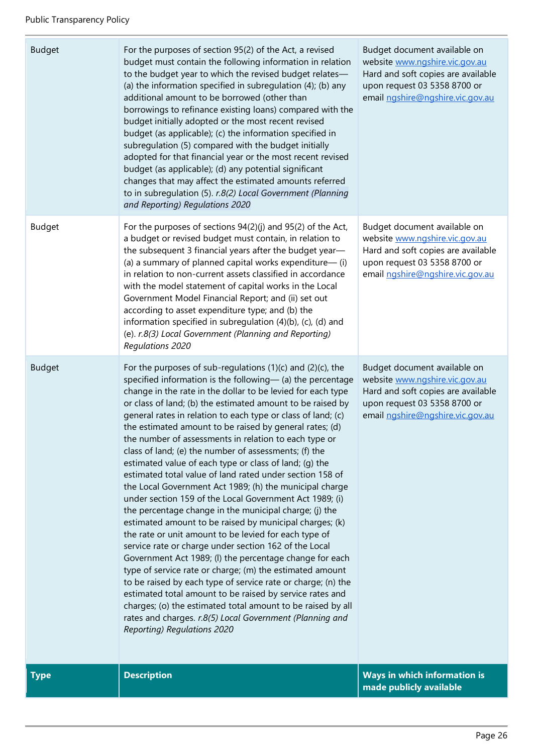| <b>Budget</b> | For the purposes of section 95(2) of the Act, a revised<br>budget must contain the following information in relation<br>to the budget year to which the revised budget relates-<br>(a) the information specified in subregulation (4); (b) any<br>additional amount to be borrowed (other than<br>borrowings to refinance existing loans) compared with the<br>budget initially adopted or the most recent revised<br>budget (as applicable); (c) the information specified in<br>subregulation (5) compared with the budget initially<br>adopted for that financial year or the most recent revised<br>budget (as applicable); (d) any potential significant<br>changes that may affect the estimated amounts referred<br>to in subregulation (5). r.8(2) Local Government (Planning<br>and Reporting) Regulations 2020                                                                                                                                                                                                                                                                                                                                                                                                                                                                                                                                                                                | Budget document available on<br>website www.ngshire.vic.gov.au<br>Hard and soft copies are available<br>upon request 03 5358 8700 or<br>email ngshire@ngshire.vic.gov.au |
|---------------|---------------------------------------------------------------------------------------------------------------------------------------------------------------------------------------------------------------------------------------------------------------------------------------------------------------------------------------------------------------------------------------------------------------------------------------------------------------------------------------------------------------------------------------------------------------------------------------------------------------------------------------------------------------------------------------------------------------------------------------------------------------------------------------------------------------------------------------------------------------------------------------------------------------------------------------------------------------------------------------------------------------------------------------------------------------------------------------------------------------------------------------------------------------------------------------------------------------------------------------------------------------------------------------------------------------------------------------------------------------------------------------------------------|--------------------------------------------------------------------------------------------------------------------------------------------------------------------------|
| <b>Budget</b> | For the purposes of sections 94(2)(j) and 95(2) of the Act,<br>a budget or revised budget must contain, in relation to<br>the subsequent 3 financial years after the budget year-<br>(a) a summary of planned capital works expenditure-(i)<br>in relation to non-current assets classified in accordance<br>with the model statement of capital works in the Local<br>Government Model Financial Report; and (ii) set out<br>according to asset expenditure type; and (b) the<br>information specified in subregulation (4)(b), (c), (d) and<br>(e). r.8(3) Local Government (Planning and Reporting)<br><b>Regulations 2020</b>                                                                                                                                                                                                                                                                                                                                                                                                                                                                                                                                                                                                                                                                                                                                                                       | Budget document available on<br>website www.ngshire.vic.gov.au<br>Hard and soft copies are available<br>upon request 03 5358 8700 or<br>email ngshire@ngshire.vic.gov.au |
| <b>Budget</b> | For the purposes of sub-regulations $(1)(c)$ and $(2)(c)$ , the<br>specified information is the following- (a) the percentage<br>change in the rate in the dollar to be levied for each type<br>or class of land; (b) the estimated amount to be raised by<br>general rates in relation to each type or class of land; (c)<br>the estimated amount to be raised by general rates; (d)<br>the number of assessments in relation to each type or<br>class of land; (e) the number of assessments; (f) the<br>estimated value of each type or class of land; (g) the<br>estimated total value of land rated under section 158 of<br>the Local Government Act 1989; (h) the municipal charge<br>under section 159 of the Local Government Act 1989; (i)<br>the percentage change in the municipal charge; (j) the<br>estimated amount to be raised by municipal charges; (k)<br>the rate or unit amount to be levied for each type of<br>service rate or charge under section 162 of the Local<br>Government Act 1989; (I) the percentage change for each<br>type of service rate or charge; (m) the estimated amount<br>to be raised by each type of service rate or charge; (n) the<br>estimated total amount to be raised by service rates and<br>charges; (o) the estimated total amount to be raised by all<br>rates and charges. r.8(5) Local Government (Planning and<br>Reporting) Regulations 2020 | Budget document available on<br>website www.ngshire.vic.gov.au<br>Hard and soft copies are available<br>upon request 03 5358 8700 or<br>email ngshire@ngshire.vic.gov.au |
| <b>Type</b>   | <b>Description</b>                                                                                                                                                                                                                                                                                                                                                                                                                                                                                                                                                                                                                                                                                                                                                                                                                                                                                                                                                                                                                                                                                                                                                                                                                                                                                                                                                                                      | <b>Ways in which information is</b><br>made publicly available                                                                                                           |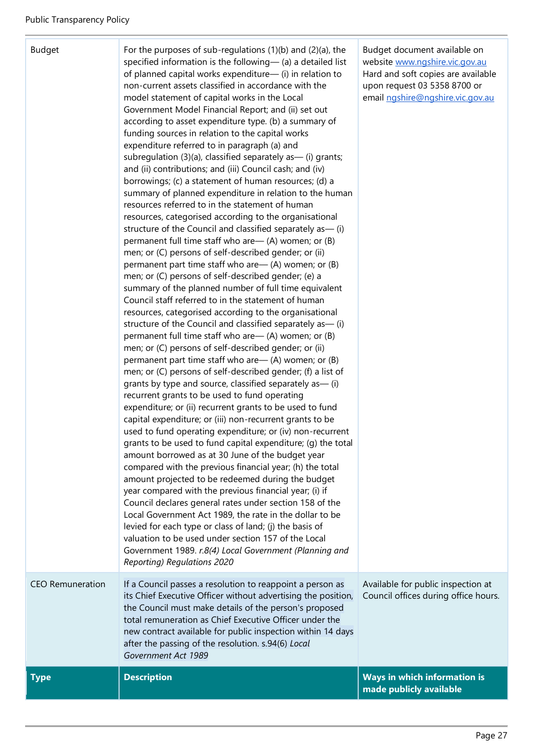| Budget |
|--------|
|--------|

For the purposes of sub-regulations  $(1)(b)$  and  $(2)(a)$ , the specified information is the following— (a) a detailed list of planned capital works expenditure— (i) in relation to non-current assets classified in accordance with the model statement of capital works in the Local Government Model Financial Report; and (ii) set out according to asset expenditure type. (b) a summary of funding sources in relation to the capital works expenditure referred to in paragraph (a) and subregulation  $(3)(a)$ , classified separately as  $-$  (i) grants; and (ii) contributions; and (iii) Council cash; and (iv) borrowings; (c) a statement of human resources; (d) a summary of planned expenditure in relation to the human resources referred to in the statement of human resources, categorised according to the organisational structure of the Council and classified separately as— (i) permanent full time staff who are— (A) women; or (B) men; or (C) persons of self-described gender; or (ii) permanent part time staff who are— (A) women; or (B) men; or (C) persons of self-described gender; (e) a summary of the planned number of full time equivalent Council staff referred to in the statement of human resources, categorised according to the organisational structure of the Council and classified separately as— (i) permanent full time staff who are— (A) women; or (B) men; or (C) persons of self-described gender; or (ii) permanent part time staff who are— (A) women; or (B) men; or (C) persons of self-described gender; (f) a list of grants by type and source, classified separately as— (i) recurrent grants to be used to fund operating expenditure; or (ii) recurrent grants to be used to fund capital expenditure; or (iii) non-recurrent grants to be used to fund operating expenditure; or (iv) non-recurrent grants to be used to fund capital expenditure; (g) the total amount borrowed as at 30 June of the budget year compared with the previous financial year; (h) the total amount projected to be redeemed during the budget year compared with the previous financial year; (i) if Council declares general rates under section 158 of the Local Government Act 1989, the rate in the dollar to be levied for each type or class of land; (j) the basis of valuation to be used under section 157 of the Local Government 1989. *r.8(4) Local Government (Planning and Reporting) Regulations 2020* CEO Remuneration If a Council passes a resolution to reappoint a person as its Chief Executive Officer without advertising the position, the Council must make details of the person's proposed total remuneration as Chief Executive Officer under the new contract available for public inspection within 14 days after the passing of the resolution. s.94(6) *Local Government Act 1989* Available for public inspection at Council offices during office hours. **Type Description Description Reserves All 2009 Ways in which information is** 

Budget document available on websit[e www.ngshire.vic.gov.au](http://www.ngshire.vic.gov.au/) Hard and soft copies are available upon request 03 5358 8700 or emai[l ngshire@ngshire.vic.gov.au](mailto:ngshire@ngshire.vic.gov.au)

**made publicly available**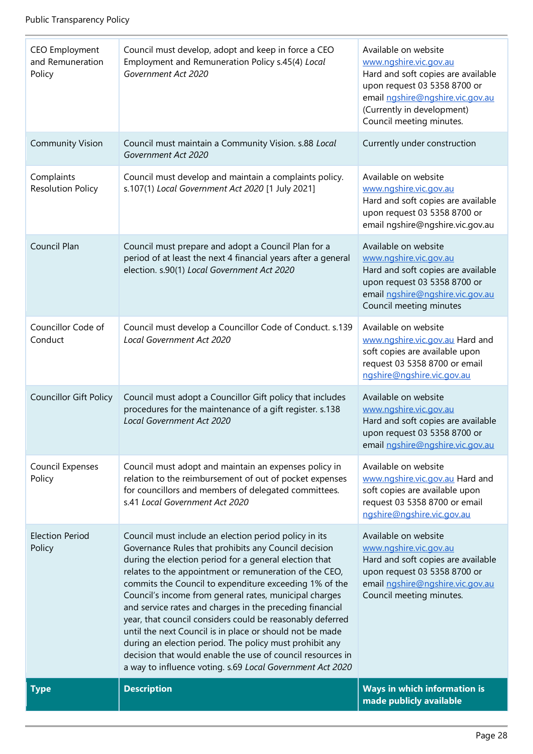| <b>CEO Employment</b><br>and Remuneration<br>Policy | Council must develop, adopt and keep in force a CEO<br>Employment and Remuneration Policy s.45(4) Local<br>Government Act 2020                                                                                                                                                                                                                                                                                                                                                                                                                                                                                                                                                                                                   | Available on website<br>www.ngshire.vic.gov.au<br>Hard and soft copies are available<br>upon request 03 5358 8700 or<br>email ngshire@ngshire.vic.gov.au<br>(Currently in development)<br>Council meeting minutes. |
|-----------------------------------------------------|----------------------------------------------------------------------------------------------------------------------------------------------------------------------------------------------------------------------------------------------------------------------------------------------------------------------------------------------------------------------------------------------------------------------------------------------------------------------------------------------------------------------------------------------------------------------------------------------------------------------------------------------------------------------------------------------------------------------------------|--------------------------------------------------------------------------------------------------------------------------------------------------------------------------------------------------------------------|
| <b>Community Vision</b>                             | Council must maintain a Community Vision. s.88 Local<br>Government Act 2020                                                                                                                                                                                                                                                                                                                                                                                                                                                                                                                                                                                                                                                      | Currently under construction                                                                                                                                                                                       |
| Complaints<br><b>Resolution Policy</b>              | Council must develop and maintain a complaints policy.<br>s.107(1) Local Government Act 2020 [1 July 2021]                                                                                                                                                                                                                                                                                                                                                                                                                                                                                                                                                                                                                       | Available on website<br>www.ngshire.vic.gov.au<br>Hard and soft copies are available<br>upon request 03 5358 8700 or<br>email ngshire@ngshire.vic.gov.au                                                           |
| Council Plan                                        | Council must prepare and adopt a Council Plan for a<br>period of at least the next 4 financial years after a general<br>election. s.90(1) Local Government Act 2020                                                                                                                                                                                                                                                                                                                                                                                                                                                                                                                                                              | Available on website<br>www.ngshire.vic.gov.au<br>Hard and soft copies are available<br>upon request 03 5358 8700 or<br>email ngshire@ngshire.vic.gov.au<br>Council meeting minutes                                |
| Councillor Code of<br>Conduct                       | Council must develop a Councillor Code of Conduct. s.139<br>Local Government Act 2020                                                                                                                                                                                                                                                                                                                                                                                                                                                                                                                                                                                                                                            | Available on website<br>www.ngshire.vic.gov.au Hard and<br>soft copies are available upon<br>request 03 5358 8700 or email<br>ngshire@ngshire.vic.gov.au                                                           |
| <b>Councillor Gift Policy</b>                       | Council must adopt a Councillor Gift policy that includes<br>procedures for the maintenance of a gift register. s.138<br>Local Government Act 2020                                                                                                                                                                                                                                                                                                                                                                                                                                                                                                                                                                               | Available on website<br>www.ngshire.vic.gov.au<br>Hard and soft copies are available<br>upon request 03 5358 8700 or<br>email ngshire@ngshire.vic.gov.au                                                           |
| Council Expenses<br>Policy                          | Council must adopt and maintain an expenses policy in<br>relation to the reimbursement of out of pocket expenses<br>for councillors and members of delegated committees.<br>s.41 Local Government Act 2020                                                                                                                                                                                                                                                                                                                                                                                                                                                                                                                       | Available on website<br>www.ngshire.vic.gov.au Hard and<br>soft copies are available upon<br>request 03 5358 8700 or email<br>ngshire@ngshire.vic.gov.au                                                           |
| <b>Election Period</b><br>Policy                    | Council must include an election period policy in its<br>Governance Rules that prohibits any Council decision<br>during the election period for a general election that<br>relates to the appointment or remuneration of the CEO,<br>commits the Council to expenditure exceeding 1% of the<br>Council's income from general rates, municipal charges<br>and service rates and charges in the preceding financial<br>year, that council considers could be reasonably deferred<br>until the next Council is in place or should not be made<br>during an election period. The policy must prohibit any<br>decision that would enable the use of council resources in<br>a way to influence voting. s.69 Local Government Act 2020 | Available on website<br>www.ngshire.vic.gov.au<br>Hard and soft copies are available<br>upon request 03 5358 8700 or<br>email ngshire@ngshire.vic.gov.au<br>Council meeting minutes.                               |
| <b>Type</b>                                         | <b>Description</b>                                                                                                                                                                                                                                                                                                                                                                                                                                                                                                                                                                                                                                                                                                               | Ways in which information is<br>made publicly available                                                                                                                                                            |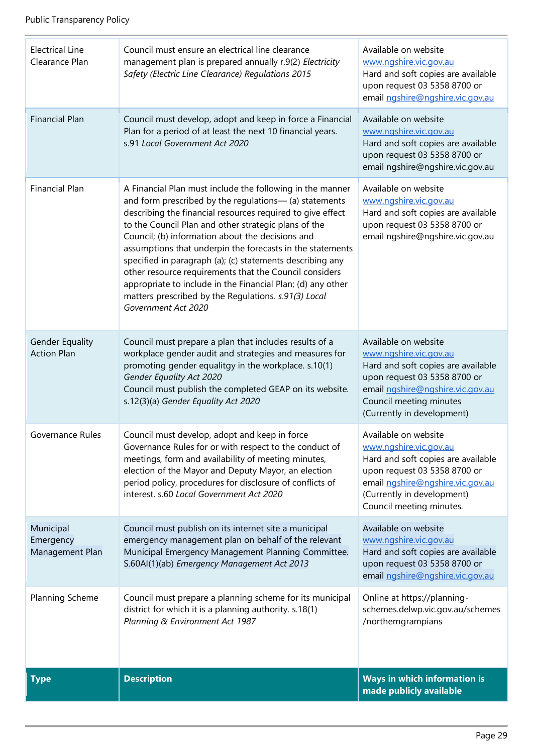| Planning Scheme                           | Governance Rules for or with respect to the conduct of<br>meetings, form and availability of meeting minutes,<br>election of the Mayor and Deputy Mayor, an election<br>period policy, procedures for disclosure of conflicts of<br>interest. s.60 Local Government Act 2020<br>Council must publish on its internet site a municipal<br>emergency management plan on behalf of the relevant<br>Municipal Emergency Management Planning Committee.<br>S.60Al(1)(ab) Emergency Management Act 2013<br>Council must prepare a planning scheme for its municipal<br>district for which it is a planning authority. s.18(1)<br>Planning & Environment Act 1987 | Available on website<br>www.ngshire.vic.gov.au<br>Hard and soft copies are available<br>upon request 03 5358 8700 or<br>email ngshire@ngshire.vic.gov.au<br>(Currently in development)<br>Council meeting minutes.<br>Available on website<br>www.ngshire.vic.gov.au<br>Hard and soft copies are available<br>upon request 03 5358 8700 or<br>email ngshire@ngshire.vic.gov.au<br>Online at https://planning-<br>schemes.delwp.vic.gov.au/schemes<br>/northerngrampians |
|-------------------------------------------|------------------------------------------------------------------------------------------------------------------------------------------------------------------------------------------------------------------------------------------------------------------------------------------------------------------------------------------------------------------------------------------------------------------------------------------------------------------------------------------------------------------------------------------------------------------------------------------------------------------------------------------------------------|-------------------------------------------------------------------------------------------------------------------------------------------------------------------------------------------------------------------------------------------------------------------------------------------------------------------------------------------------------------------------------------------------------------------------------------------------------------------------|
|                                           |                                                                                                                                                                                                                                                                                                                                                                                                                                                                                                                                                                                                                                                            |                                                                                                                                                                                                                                                                                                                                                                                                                                                                         |
| Municipal<br>Emergency<br>Management Plan |                                                                                                                                                                                                                                                                                                                                                                                                                                                                                                                                                                                                                                                            |                                                                                                                                                                                                                                                                                                                                                                                                                                                                         |
| Governance Rules                          | Council must develop, adopt and keep in force                                                                                                                                                                                                                                                                                                                                                                                                                                                                                                                                                                                                              |                                                                                                                                                                                                                                                                                                                                                                                                                                                                         |
| Gender Equality<br><b>Action Plan</b>     | Council must prepare a plan that includes results of a<br>workplace gender audit and strategies and measures for<br>promoting gender equalitgy in the workplace. s.10(1)<br>Gender Equality Act 2020<br>Council must publish the completed GEAP on its website.<br>s.12(3)(a) Gender Equality Act 2020                                                                                                                                                                                                                                                                                                                                                     | Available on website<br>www.ngshire.vic.gov.au<br>Hard and soft copies are available<br>upon request 03 5358 8700 or<br>email ngshire@ngshire.vic.gov.au<br>Council meeting minutes<br>(Currently in development)                                                                                                                                                                                                                                                       |
| <b>Financial Plan</b>                     | A Financial Plan must include the following in the manner<br>and form prescribed by the regulations- (a) statements<br>describing the financial resources required to give effect<br>to the Council Plan and other strategic plans of the<br>Council; (b) information about the decisions and<br>assumptions that underpin the forecasts in the statements<br>specified in paragraph (a); (c) statements describing any<br>other resource requirements that the Council considers<br>appropriate to include in the Financial Plan; (d) any other<br>matters prescribed by the Regulations. s.91(3) Local<br>Government Act 2020                            | Available on website<br>www.ngshire.vic.gov.au<br>Hard and soft copies are available<br>upon request 03 5358 8700 or<br>email ngshire@ngshire.vic.gov.au                                                                                                                                                                                                                                                                                                                |
| <b>Financial Plan</b>                     | Council must develop, adopt and keep in force a Financial<br>Plan for a period of at least the next 10 financial years.<br>s.91 Local Government Act 2020                                                                                                                                                                                                                                                                                                                                                                                                                                                                                                  | Available on website<br>www.ngshire.vic.gov.au<br>Hard and soft copies are available<br>upon request 03 5358 8700 or<br>email ngshire@ngshire.vic.gov.au                                                                                                                                                                                                                                                                                                                |
| <b>Electrical Line</b><br>Clearance Plan  | Council must ensure an electrical line clearance<br>management plan is prepared annually r.9(2) Electricity<br>Safety (Electric Line Clearance) Regulations 2015                                                                                                                                                                                                                                                                                                                                                                                                                                                                                           | Available on website<br>www.ngshire.vic.gov.au<br>Hard and soft copies are available<br>upon request 03 5358 8700 or<br>email ngshire@ngshire.vic.gov.au                                                                                                                                                                                                                                                                                                                |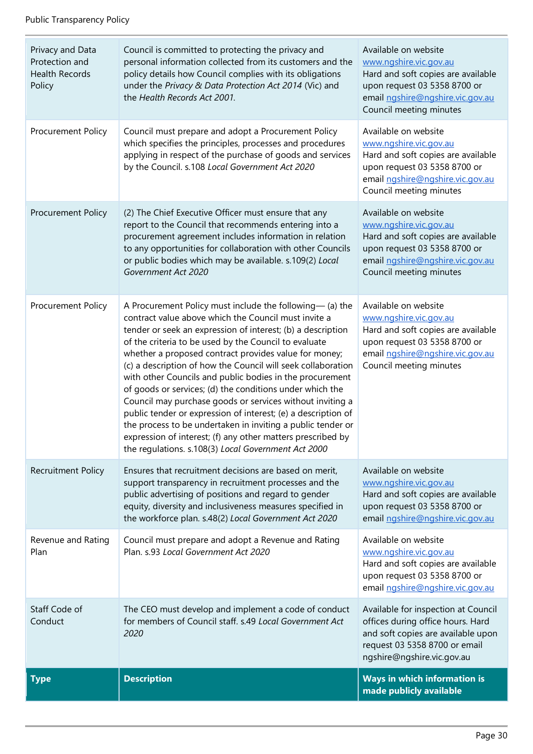| Privacy and Data<br>Protection and<br><b>Health Records</b><br>Policy | Council is committed to protecting the privacy and<br>personal information collected from its customers and the<br>policy details how Council complies with its obligations<br>under the Privacy & Data Protection Act 2014 (Vic) and<br>the Health Records Act 2001.                                                                                                                                                                                                                                                                                                                                                                                                                                                                                                                                        | Available on website<br>www.ngshire.vic.gov.au<br>Hard and soft copies are available<br>upon request 03 5358 8700 or<br>email ngshire@ngshire.vic.gov.au<br>Council meeting minutes |
|-----------------------------------------------------------------------|--------------------------------------------------------------------------------------------------------------------------------------------------------------------------------------------------------------------------------------------------------------------------------------------------------------------------------------------------------------------------------------------------------------------------------------------------------------------------------------------------------------------------------------------------------------------------------------------------------------------------------------------------------------------------------------------------------------------------------------------------------------------------------------------------------------|-------------------------------------------------------------------------------------------------------------------------------------------------------------------------------------|
| Procurement Policy                                                    | Council must prepare and adopt a Procurement Policy<br>which specifies the principles, processes and procedures<br>applying in respect of the purchase of goods and services<br>by the Council. s.108 Local Government Act 2020                                                                                                                                                                                                                                                                                                                                                                                                                                                                                                                                                                              | Available on website<br>www.ngshire.vic.gov.au<br>Hard and soft copies are available<br>upon request 03 5358 8700 or<br>email ngshire@ngshire.vic.gov.au<br>Council meeting minutes |
| Procurement Policy                                                    | (2) The Chief Executive Officer must ensure that any<br>report to the Council that recommends entering into a<br>procurement agreement includes information in relation<br>to any opportunities for collaboration with other Councils<br>or public bodies which may be available. s.109(2) Local<br>Government Act 2020                                                                                                                                                                                                                                                                                                                                                                                                                                                                                      | Available on website<br>www.ngshire.vic.gov.au<br>Hard and soft copies are available<br>upon request 03 5358 8700 or<br>email ngshire@ngshire.vic.gov.au<br>Council meeting minutes |
| Procurement Policy                                                    | A Procurement Policy must include the following— (a) the<br>contract value above which the Council must invite a<br>tender or seek an expression of interest; (b) a description<br>of the criteria to be used by the Council to evaluate<br>whether a proposed contract provides value for money;<br>(c) a description of how the Council will seek collaboration<br>with other Councils and public bodies in the procurement<br>of goods or services; (d) the conditions under which the<br>Council may purchase goods or services without inviting a<br>public tender or expression of interest; (e) a description of<br>the process to be undertaken in inviting a public tender or<br>expression of interest; (f) any other matters prescribed by<br>the regulations. s.108(3) Local Government Act 2000 | Available on website<br>www.ngshire.vic.gov.au<br>Hard and soft copies are available<br>upon request 03 5358 8700 or<br>email ngshire@ngshire.vic.gov.au<br>Council meeting minutes |
| Recruitment Policy                                                    | Ensures that recruitment decisions are based on merit,<br>support transparency in recruitment processes and the<br>public advertising of positions and regard to gender<br>equity, diversity and inclusiveness measures specified in<br>the workforce plan. s.48(2) Local Government Act 2020                                                                                                                                                                                                                                                                                                                                                                                                                                                                                                                | Available on website<br>www.ngshire.vic.gov.au<br>Hard and soft copies are available<br>upon request 03 5358 8700 or<br>email ngshire@ngshire.vic.gov.au                            |
| Revenue and Rating<br>Plan                                            | Council must prepare and adopt a Revenue and Rating<br>Plan. s.93 Local Government Act 2020                                                                                                                                                                                                                                                                                                                                                                                                                                                                                                                                                                                                                                                                                                                  | Available on website<br>www.ngshire.vic.gov.au<br>Hard and soft copies are available<br>upon request 03 5358 8700 or<br>email ngshire@ngshire.vic.gov.au                            |
| Staff Code of<br>Conduct                                              | The CEO must develop and implement a code of conduct<br>for members of Council staff. s.49 Local Government Act<br>2020                                                                                                                                                                                                                                                                                                                                                                                                                                                                                                                                                                                                                                                                                      | Available for inspection at Council<br>offices during office hours. Hard<br>and soft copies are available upon<br>request 03 5358 8700 or email<br>ngshire@ngshire.vic.gov.au       |
| <b>Type</b>                                                           | <b>Description</b>                                                                                                                                                                                                                                                                                                                                                                                                                                                                                                                                                                                                                                                                                                                                                                                           | Ways in which information is<br>made publicly available                                                                                                                             |